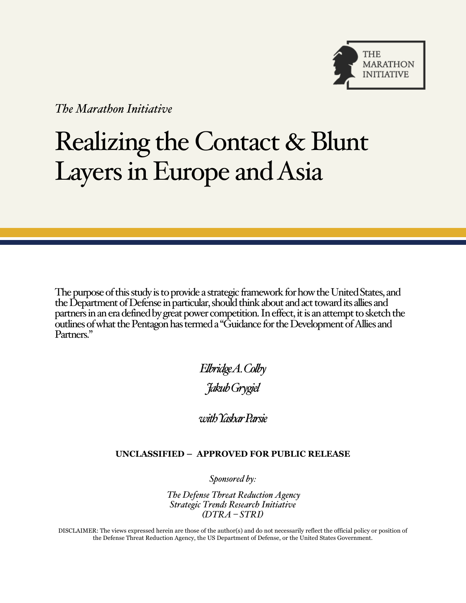

*The Marathon Initiative*

# Realizing the Contact & Blunt Layers in Europe and Asia

The purpose of this study is to provide a strategic framework for how the United States, and the Department of Defense in particular, should think about and act toward its allies and partners in an era defined by great power competition. In effect, it is an attempt to sketch the outlines of what the Pentagon has termed a "Guidance for the Development of Allies and Partners."

> *Elbridge A. Colby Jakub Grygiel*

*with Yashar Parsie*

## **UNCLASSIFIED – APPROVED FOR PUBLIC RELEASE**

*Sponsored by:*

*The Defense Threat Reduction Agency Strategic Trends Research Initiative (DTRA – STRI)*

DISCLAIMER: The views expressed herein are those of the author(s) and do not necessarily reflect the official policy or position of the Defense Threat Reduction Agency, the US Department of Defense, or the United States Government.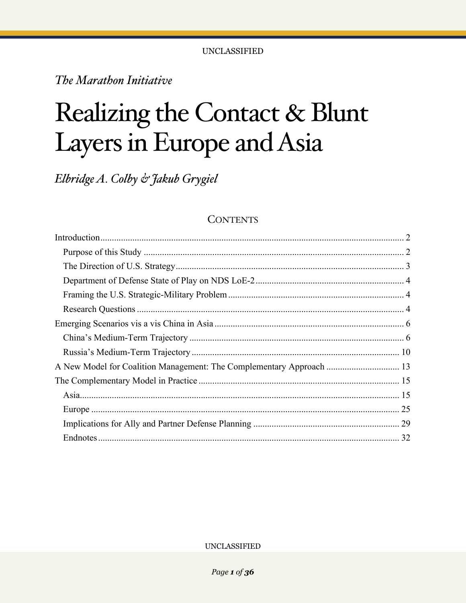The Marathon Initiative

# Realizing the Contact & Blunt Layers in Europe and Asia

Elbridge A. Colby & Jakub Grygiel

# **CONTENTS**

| A New Model for Coalition Management: The Complementary Approach  13 |  |
|----------------------------------------------------------------------|--|
|                                                                      |  |
|                                                                      |  |
|                                                                      |  |
|                                                                      |  |
|                                                                      |  |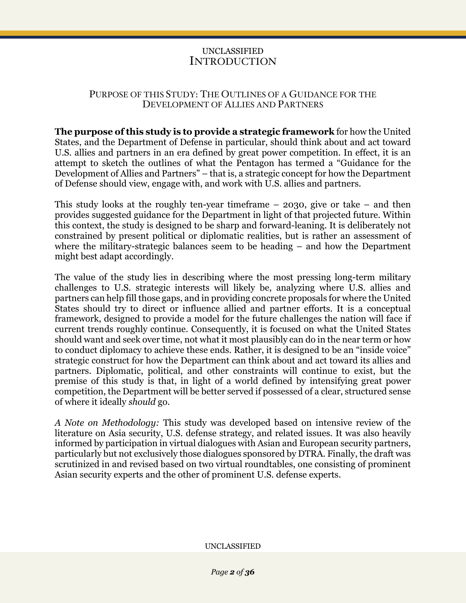## UNCLASSIFIED INTRODUCTION

## PURPOSE OF THIS STUDY: THE OUTLINES OF A GUIDANCE FOR THE DEVELOPMENT OF ALLIES AND PARTNERS

**The purpose of this study is to provide a strategic framework** for how the United States, and the Department of Defense in particular, should think about and act toward U.S. allies and partners in an era defined by great power competition. In effect, it is an attempt to sketch the outlines of what the Pentagon has termed a "Guidance for the Development of Allies and Partners" – that is, a strategic concept for how the Department of Defense should view, engage with, and work with U.S. allies and partners.

This study looks at the roughly ten-year timeframe – 2030, give or take – and then provides suggested guidance for the Department in light of that projected future. Within this context, the study is designed to be sharp and forward-leaning. It is deliberately not constrained by present political or diplomatic realities, but is rather an assessment of where the military-strategic balances seem to be heading – and how the Department might best adapt accordingly.

The value of the study lies in describing where the most pressing long-term military challenges to U.S. strategic interests will likely be, analyzing where U.S. allies and partners can help fill those gaps, and in providing concrete proposals for where the United States should try to direct or influence allied and partner efforts. It is a conceptual framework, designed to provide a model for the future challenges the nation will face if current trends roughly continue. Consequently, it is focused on what the United States should want and seek over time, not what it most plausibly can do in the near term or how to conduct diplomacy to achieve these ends. Rather, it is designed to be an "inside voice" strategic construct for how the Department can think about and act toward its allies and partners. Diplomatic, political, and other constraints will continue to exist, but the premise of this study is that, in light of a world defined by intensifying great power competition, the Department will be better served if possessed of a clear, structured sense of where it ideally *should* go.

*A Note on Methodology:* This study was developed based on intensive review of the literature on Asia security, U.S. defense strategy, and related issues. It was also heavily informed by participation in virtual dialogues with Asian and European security partners, particularly but not exclusively those dialogues sponsored by DTRA. Finally, the draft was scrutinized in and revised based on two virtual roundtables, one consisting of prominent Asian security experts and the other of prominent U.S. defense experts.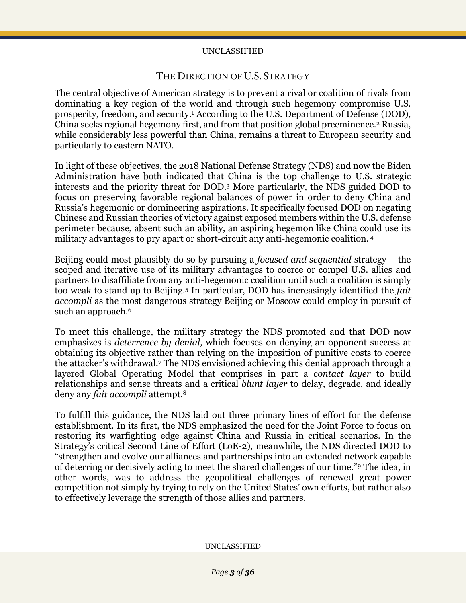## THE DIRECTION OF U.S. STRATEGY

The central objective of American strategy is to prevent a rival or coalition of rivals from dominating a key region of the world and through such hegemony compromise U.S. prosperity, freedom, and security.1 According to the U.S. Department of Defense (DOD), China seeks regional hegemony first, and from that position global preeminence.2 Russia, while considerably less powerful than China, remains a threat to European security and particularly to eastern NATO.

In light of these objectives, the 2018 National Defense Strategy (NDS) and now the Biden Administration have both indicated that China is the top challenge to U.S. strategic interests and the priority threat for DOD.3 More particularly, the NDS guided DOD to focus on preserving favorable regional balances of power in order to deny China and Russia's hegemonic or domineering aspirations. It specifically focused DOD on negating Chinese and Russian theories of victory against exposed members within the U.S. defense perimeter because, absent such an ability, an aspiring hegemon like China could use its military advantages to pry apart or short-circuit any anti-hegemonic coalition. <sup>4</sup>

Beijing could most plausibly do so by pursuing a *focused and sequential* strategy – the scoped and iterative use of its military advantages to coerce or compel U.S. allies and partners to disaffiliate from any anti-hegemonic coalition until such a coalition is simply too weak to stand up to Beijing.5 In particular, DOD has increasingly identified the *fait accompli* as the most dangerous strategy Beijing or Moscow could employ in pursuit of such an approach.<sup>6</sup>

To meet this challenge, the military strategy the NDS promoted and that DOD now emphasizes is *deterrence by denial,* which focuses on denying an opponent success at obtaining its objective rather than relying on the imposition of punitive costs to coerce the attacker's withdrawal.7 The NDS envisioned achieving this denial approach through a layered Global Operating Model that comprises in part a *contact layer* to build relationships and sense threats and a critical *blunt layer* to delay, degrade, and ideally deny any *fait accompli* attempt.8

To fulfill this guidance, the NDS laid out three primary lines of effort for the defense establishment. In its first, the NDS emphasized the need for the Joint Force to focus on restoring its warfighting edge against China and Russia in critical scenarios. In the Strategy's critical Second Line of Effort (LoE-2), meanwhile, the NDS directed DOD to "strengthen and evolve our alliances and partnerships into an extended network capable of deterring or decisively acting to meet the shared challenges of our time."9 The idea, in other words, was to address the geopolitical challenges of renewed great power competition not simply by trying to rely on the United States' own efforts, but rather also to effectively leverage the strength of those allies and partners.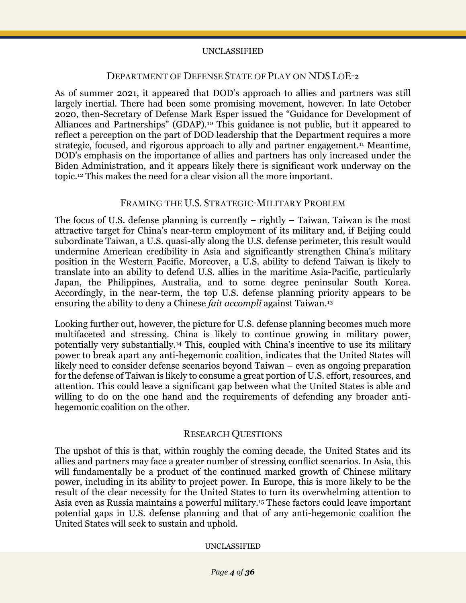## DEPARTMENT OF DEFENSE STATE OF PLAY ON NDS LOE-2

As of summer 2021, it appeared that DOD's approach to allies and partners was still largely inertial. There had been some promising movement, however. In late October 2020, then-Secretary of Defense Mark Esper issued the "Guidance for Development of Alliances and Partnerships" (GDAP).<sup>10</sup> This guidance is not public, but it appeared to reflect a perception on the part of DOD leadership that the Department requires a more strategic, focused, and rigorous approach to ally and partner engagement.<sup>11</sup> Meantime, DOD's emphasis on the importance of allies and partners has only increased under the Biden Administration, and it appears likely there is significant work underway on the topic.12 This makes the need for a clear vision all the more important.

## FRAMING THE U.S. STRATEGIC-MILITARY PROBLEM

The focus of U.S. defense planning is currently – rightly – Taiwan. Taiwan is the most attractive target for China's near-term employment of its military and, if Beijing could subordinate Taiwan, a U.S. quasi-ally along the U.S. defense perimeter, this result would undermine American credibility in Asia and significantly strengthen China's military position in the Western Pacific. Moreover, a U.S. ability to defend Taiwan is likely to translate into an ability to defend U.S. allies in the maritime Asia-Pacific, particularly Japan, the Philippines, Australia, and to some degree peninsular South Korea. Accordingly, in the near-term, the top U.S. defense planning priority appears to be ensuring the ability to deny a Chinese *fait accompli* against Taiwan.13

Looking further out, however, the picture for U.S. defense planning becomes much more multifaceted and stressing. China is likely to continue growing in military power, potentially very substantially.14 This, coupled with China's incentive to use its military power to break apart any anti-hegemonic coalition, indicates that the United States will likely need to consider defense scenarios beyond Taiwan – even as ongoing preparation for the defense of Taiwan is likely to consume a great portion of U.S. effort, resources, and attention. This could leave a significant gap between what the United States is able and willing to do on the one hand and the requirements of defending any broader antihegemonic coalition on the other.

## RESEARCH QUESTIONS

The upshot of this is that, within roughly the coming decade, the United States and its allies and partners may face a greater number of stressing conflict scenarios. In Asia, this will fundamentally be a product of the continued marked growth of Chinese military power, including in its ability to project power. In Europe, this is more likely to be the result of the clear necessity for the United States to turn its overwhelming attention to Asia even as Russia maintains a powerful military.15 These factors could leave important potential gaps in U.S. defense planning and that of any anti-hegemonic coalition the United States will seek to sustain and uphold.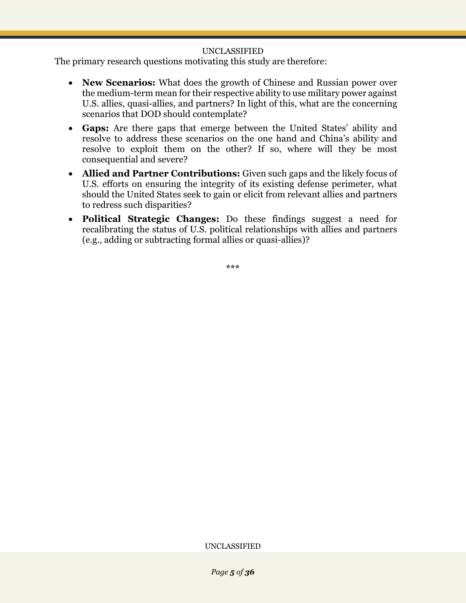The primary research questions motivating this study are therefore:

- **New Scenarios:** What does the growth of Chinese and Russian power over the medium-term mean for their respective ability to use military power against U.S. allies, quasi-allies, and partners? In light of this, what are the concerning scenarios that DOD should contemplate?
- **Gaps:** Are there gaps that emerge between the United States' ability and resolve to address these scenarios on the one hand and China's ability and resolve to exploit them on the other? If so, where will they be most consequential and severe?
- **Allied and Partner Contributions:** Given such gaps and the likely focus of U.S. efforts on ensuring the integrity of its existing defense perimeter, what should the United States seek to gain or elicit from relevant allies and partners to redress such disparities?
- **Political Strategic Changes:** Do these findings suggest a need for recalibrating the status of U.S. political relationships with allies and partners (e.g., adding or subtracting formal allies or quasi-allies)?

**\*\*\***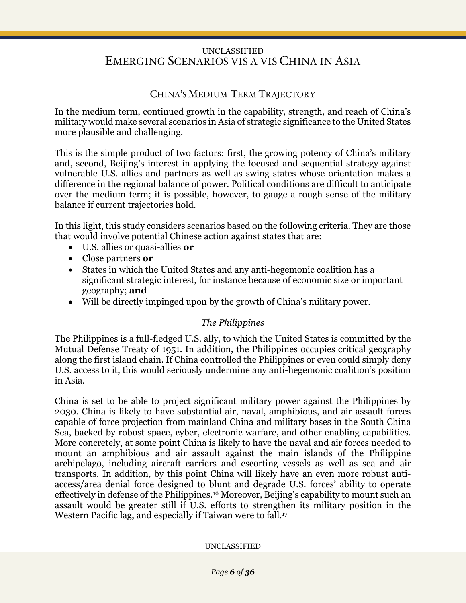## UNCLASSIFIED EMERGING SCENARIOS VIS A VIS CHINA IN ASIA

## CHINA'S MEDIUM-TERM TRAJECTORY

In the medium term, continued growth in the capability, strength, and reach of China's military would make several scenarios in Asia of strategic significance to the United States more plausible and challenging.

This is the simple product of two factors: first, the growing potency of China's military and, second, Beijing's interest in applying the focused and sequential strategy against vulnerable U.S. allies and partners as well as swing states whose orientation makes a difference in the regional balance of power. Political conditions are difficult to anticipate over the medium term; it is possible, however, to gauge a rough sense of the military balance if current trajectories hold.

In this light, this study considers scenarios based on the following criteria. They are those that would involve potential Chinese action against states that are:

- U.S. allies or quasi-allies **or**
- Close partners **or**
- States in which the United States and any anti-hegemonic coalition has a significant strategic interest, for instance because of economic size or important geography; **and**
- Will be directly impinged upon by the growth of China's military power.

## *The Philippines*

The Philippines is a full-fledged U.S. ally, to which the United States is committed by the Mutual Defense Treaty of 1951. In addition, the Philippines occupies critical geography along the first island chain. If China controlled the Philippines or even could simply deny U.S. access to it, this would seriously undermine any anti-hegemonic coalition's position in Asia.

China is set to be able to project significant military power against the Philippines by 2030. China is likely to have substantial air, naval, amphibious, and air assault forces capable of force projection from mainland China and military bases in the South China Sea, backed by robust space, cyber, electronic warfare, and other enabling capabilities. More concretely, at some point China is likely to have the naval and air forces needed to mount an amphibious and air assault against the main islands of the Philippine archipelago, including aircraft carriers and escorting vessels as well as sea and air transports. In addition, by this point China will likely have an even more robust antiaccess/area denial force designed to blunt and degrade U.S. forces' ability to operate effectively in defense of the Philippines.16 Moreover, Beijing's capability to mount such an assault would be greater still if U.S. efforts to strengthen its military position in the Western Pacific lag, and especially if Taiwan were to fall.<sup>17</sup>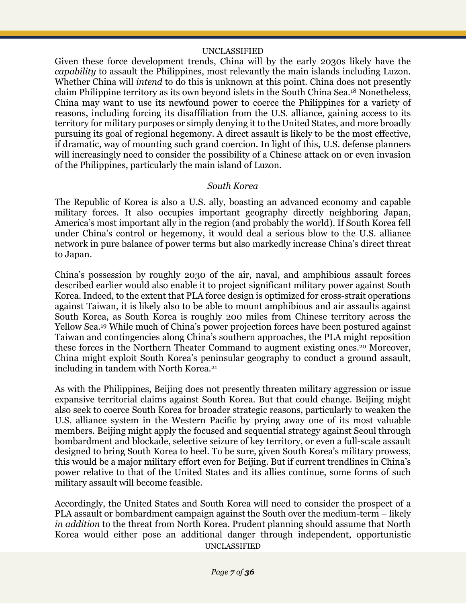Given these force development trends, China will by the early 2030s likely have the *capability* to assault the Philippines, most relevantly the main islands including Luzon. Whether China will *intend* to do this is unknown at this point. China does not presently claim Philippine territory as its own beyond islets in the South China Sea.18 Nonetheless, China may want to use its newfound power to coerce the Philippines for a variety of reasons, including forcing its disaffiliation from the U.S. alliance, gaining access to its territory for military purposes or simply denying it to the United States, and more broadly pursuing its goal of regional hegemony. A direct assault is likely to be the most effective, if dramatic, way of mounting such grand coercion. In light of this, U.S. defense planners will increasingly need to consider the possibility of a Chinese attack on or even invasion of the Philippines, particularly the main island of Luzon.

## *South Korea*

The Republic of Korea is also a U.S. ally, boasting an advanced economy and capable military forces. It also occupies important geography directly neighboring Japan, America's most important ally in the region (and probably the world). If South Korea fell under China's control or hegemony, it would deal a serious blow to the U.S. alliance network in pure balance of power terms but also markedly increase China's direct threat to Japan.

China's possession by roughly 2030 of the air, naval, and amphibious assault forces described earlier would also enable it to project significant military power against South Korea. Indeed, to the extent that PLA force design is optimized for cross-strait operations against Taiwan, it is likely also to be able to mount amphibious and air assaults against South Korea, as South Korea is roughly 200 miles from Chinese territory across the Yellow Sea.19 While much of China's power projection forces have been postured against Taiwan and contingencies along China's southern approaches, the PLA might reposition these forces in the Northern Theater Command to augment existing ones.20 Moreover, China might exploit South Korea's peninsular geography to conduct a ground assault, including in tandem with North Korea.<sup>21</sup>

As with the Philippines, Beijing does not presently threaten military aggression or issue expansive territorial claims against South Korea. But that could change. Beijing might also seek to coerce South Korea for broader strategic reasons, particularly to weaken the U.S. alliance system in the Western Pacific by prying away one of its most valuable members. Beijing might apply the focused and sequential strategy against Seoul through bombardment and blockade, selective seizure of key territory, or even a full-scale assault designed to bring South Korea to heel. To be sure, given South Korea's military prowess, this would be a major military effort even for Beijing. But if current trendlines in China's power relative to that of the United States and its allies continue, some forms of such military assault will become feasible.

UNCLASSIFIED Accordingly, the United States and South Korea will need to consider the prospect of a PLA assault or bombardment campaign against the South over the medium-term – likely *in addition* to the threat from North Korea. Prudent planning should assume that North Korea would either pose an additional danger through independent, opportunistic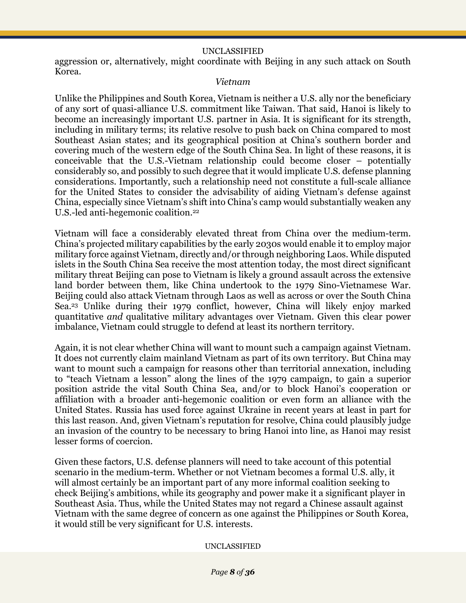aggression or, alternatively, might coordinate with Beijing in any such attack on South Korea.

## *Vietnam*

Unlike the Philippines and South Korea, Vietnam is neither a U.S. ally nor the beneficiary of any sort of quasi-alliance U.S. commitment like Taiwan. That said, Hanoi is likely to become an increasingly important U.S. partner in Asia. It is significant for its strength, including in military terms; its relative resolve to push back on China compared to most Southeast Asian states; and its geographical position at China's southern border and covering much of the western edge of the South China Sea. In light of these reasons, it is conceivable that the U.S.-Vietnam relationship could become closer – potentially considerably so, and possibly to such degree that it would implicate U.S. defense planning considerations. Importantly, such a relationship need not constitute a full-scale alliance for the United States to consider the advisability of aiding Vietnam's defense against China, especially since Vietnam's shift into China's camp would substantially weaken any U.S.-led anti-hegemonic coalition.<sup>22</sup>

Vietnam will face a considerably elevated threat from China over the medium-term. China's projected military capabilities by the early 2030s would enable it to employ major military force against Vietnam, directly and/or through neighboring Laos. While disputed islets in the South China Sea receive the most attention today, the most direct significant military threat Beijing can pose to Vietnam is likely a ground assault across the extensive land border between them, like China undertook to the 1979 Sino-Vietnamese War. Beijing could also attack Vietnam through Laos as well as across or over the South China Sea.23 Unlike during their 1979 conflict, however, China will likely enjoy marked quantitative *and* qualitative military advantages over Vietnam. Given this clear power imbalance, Vietnam could struggle to defend at least its northern territory.

Again, it is not clear whether China will want to mount such a campaign against Vietnam. It does not currently claim mainland Vietnam as part of its own territory. But China may want to mount such a campaign for reasons other than territorial annexation, including to "teach Vietnam a lesson" along the lines of the 1979 campaign, to gain a superior position astride the vital South China Sea, and/or to block Hanoi's cooperation or affiliation with a broader anti-hegemonic coalition or even form an alliance with the United States. Russia has used force against Ukraine in recent years at least in part for this last reason. And, given Vietnam's reputation for resolve, China could plausibly judge an invasion of the country to be necessary to bring Hanoi into line, as Hanoi may resist lesser forms of coercion.

Given these factors, U.S. defense planners will need to take account of this potential scenario in the medium-term. Whether or not Vietnam becomes a formal U.S. ally, it will almost certainly be an important part of any more informal coalition seeking to check Beijing's ambitions, while its geography and power make it a significant player in Southeast Asia. Thus, while the United States may not regard a Chinese assault against Vietnam with the same degree of concern as one against the Philippines or South Korea, it would still be very significant for U.S. interests.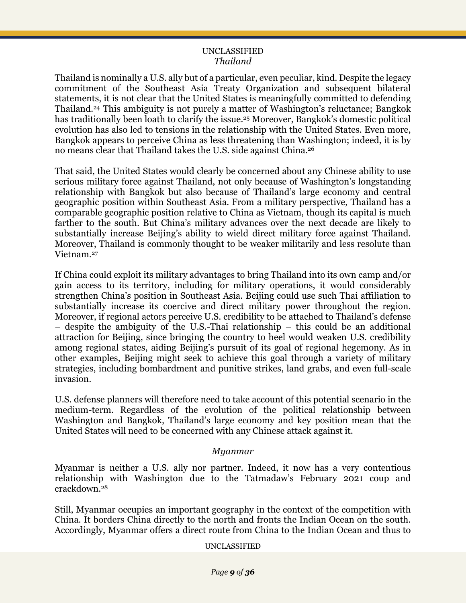## UNCLASSIFIED *Thailand*

Thailand is nominally a U.S. ally but of a particular, even peculiar, kind. Despite the legacy commitment of the Southeast Asia Treaty Organization and subsequent bilateral statements, it is not clear that the United States is meaningfully committed to defending Thailand.24 This ambiguity is not purely a matter of Washington's reluctance; Bangkok has traditionally been loath to clarify the issue.<sup>25</sup> Moreover, Bangkok's domestic political evolution has also led to tensions in the relationship with the United States. Even more, Bangkok appears to perceive China as less threatening than Washington; indeed, it is by no means clear that Thailand takes the U.S. side against China.26

That said, the United States would clearly be concerned about any Chinese ability to use serious military force against Thailand, not only because of Washington's longstanding relationship with Bangkok but also because of Thailand's large economy and central geographic position within Southeast Asia. From a military perspective, Thailand has a comparable geographic position relative to China as Vietnam, though its capital is much farther to the south. But China's military advances over the next decade are likely to substantially increase Beijing's ability to wield direct military force against Thailand. Moreover, Thailand is commonly thought to be weaker militarily and less resolute than Vietnam.27

If China could exploit its military advantages to bring Thailand into its own camp and/or gain access to its territory, including for military operations, it would considerably strengthen China's position in Southeast Asia. Beijing could use such Thai affiliation to substantially increase its coercive and direct military power throughout the region. Moreover, if regional actors perceive U.S. credibility to be attached to Thailand's defense – despite the ambiguity of the U.S.-Thai relationship – this could be an additional attraction for Beijing, since bringing the country to heel would weaken U.S. credibility among regional states, aiding Beijing's pursuit of its goal of regional hegemony. As in other examples, Beijing might seek to achieve this goal through a variety of military strategies, including bombardment and punitive strikes, land grabs, and even full-scale invasion.

U.S. defense planners will therefore need to take account of this potential scenario in the medium-term. Regardless of the evolution of the political relationship between Washington and Bangkok, Thailand's large economy and key position mean that the United States will need to be concerned with any Chinese attack against it.

## *Myanmar*

Myanmar is neither a U.S. ally nor partner. Indeed, it now has a very contentious relationship with Washington due to the Tatmadaw's February 2021 coup and crackdown.28

Still, Myanmar occupies an important geography in the context of the competition with China. It borders China directly to the north and fronts the Indian Ocean on the south. Accordingly, Myanmar offers a direct route from China to the Indian Ocean and thus to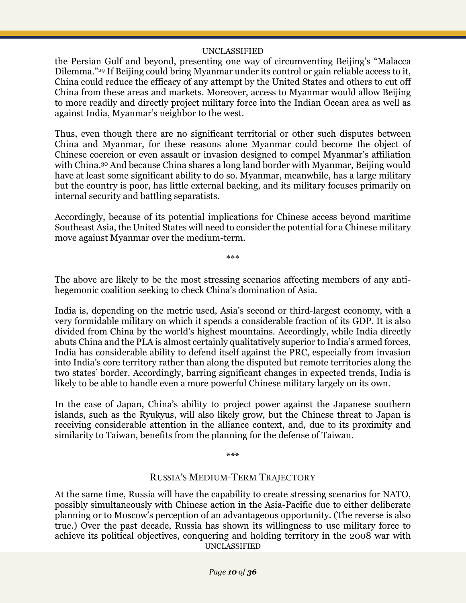the Persian Gulf and beyond, presenting one way of circumventing Beijing's "Malacca Dilemma."29 If Beijing could bring Myanmar under its control or gain reliable access to it, China could reduce the efficacy of any attempt by the United States and others to cut off China from these areas and markets. Moreover, access to Myanmar would allow Beijing to more readily and directly project military force into the Indian Ocean area as well as against India, Myanmar's neighbor to the west.

Thus, even though there are no significant territorial or other such disputes between China and Myanmar, for these reasons alone Myanmar could become the object of Chinese coercion or even assault or invasion designed to compel Myanmar's affiliation with China.<sup>30</sup> And because China shares a long land border with Myanmar, Beijing would have at least some significant ability to do so. Myanmar, meanwhile, has a large military but the country is poor, has little external backing, and its military focuses primarily on internal security and battling separatists.

Accordingly, because of its potential implications for Chinese access beyond maritime Southeast Asia, the United States will need to consider the potential for a Chinese military move against Myanmar over the medium-term.

\*\*\*

The above are likely to be the most stressing scenarios affecting members of any antihegemonic coalition seeking to check China's domination of Asia.

India is, depending on the metric used, Asia's second or third-largest economy, with a very formidable military on which it spends a considerable fraction of its GDP. It is also divided from China by the world's highest mountains. Accordingly, while India directly abuts China and the PLA is almost certainly qualitatively superior to India's armed forces, India has considerable ability to defend itself against the PRC, especially from invasion into India's core territory rather than along the disputed but remote territories along the two states' border. Accordingly, barring significant changes in expected trends, India is likely to be able to handle even a more powerful Chinese military largely on its own.

In the case of Japan, China's ability to project power against the Japanese southern islands, such as the Ryukyus, will also likely grow, but the Chinese threat to Japan is receiving considerable attention in the alliance context, and, due to its proximity and similarity to Taiwan, benefits from the planning for the defense of Taiwan.

**\*\*\***

## RUSSIA'S MEDIUM-TERM TRAJECTORY

UNCLASSIFIED At the same time, Russia will have the capability to create stressing scenarios for NATO, possibly simultaneously with Chinese action in the Asia-Pacific due to either deliberate planning or to Moscow's perception of an advantageous opportunity. (The reverse is also true.) Over the past decade, Russia has shown its willingness to use military force to achieve its political objectives, conquering and holding territory in the 2008 war with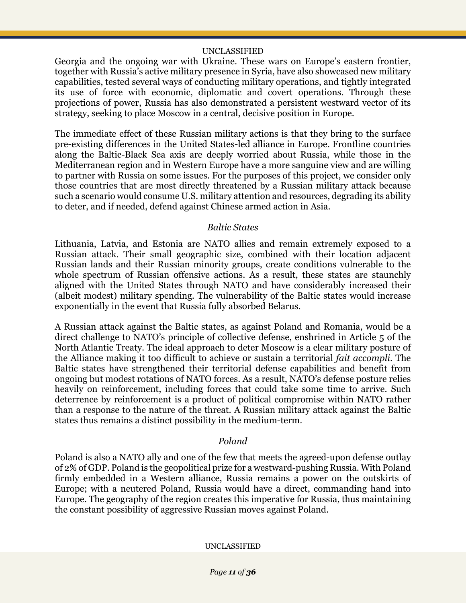Georgia and the ongoing war with Ukraine. These wars on Europe's eastern frontier, together with Russia's active military presence in Syria, have also showcased new military capabilities, tested several ways of conducting military operations, and tightly integrated its use of force with economic, diplomatic and covert operations. Through these projections of power, Russia has also demonstrated a persistent westward vector of its strategy, seeking to place Moscow in a central, decisive position in Europe.

The immediate effect of these Russian military actions is that they bring to the surface pre-existing differences in the United States-led alliance in Europe. Frontline countries along the Baltic-Black Sea axis are deeply worried about Russia, while those in the Mediterranean region and in Western Europe have a more sanguine view and are willing to partner with Russia on some issues. For the purposes of this project, we consider only those countries that are most directly threatened by a Russian military attack because such a scenario would consume U.S. military attention and resources, degrading its ability to deter, and if needed, defend against Chinese armed action in Asia.

## *Baltic States*

Lithuania, Latvia, and Estonia are NATO allies and remain extremely exposed to a Russian attack. Their small geographic size, combined with their location adjacent Russian lands and their Russian minority groups, create conditions vulnerable to the whole spectrum of Russian offensive actions. As a result, these states are staunchly aligned with the United States through NATO and have considerably increased their (albeit modest) military spending. The vulnerability of the Baltic states would increase exponentially in the event that Russia fully absorbed Belarus.

A Russian attack against the Baltic states, as against Poland and Romania, would be a direct challenge to NATO's principle of collective defense, enshrined in Article 5 of the North Atlantic Treaty. The ideal approach to deter Moscow is a clear military posture of the Alliance making it too difficult to achieve or sustain a territorial *fait accompli*. The Baltic states have strengthened their territorial defense capabilities and benefit from ongoing but modest rotations of NATO forces. As a result, NATO's defense posture relies heavily on reinforcement, including forces that could take some time to arrive. Such deterrence by reinforcement is a product of political compromise within NATO rather than a response to the nature of the threat. A Russian military attack against the Baltic states thus remains a distinct possibility in the medium-term.

## *Poland*

Poland is also a NATO ally and one of the few that meets the agreed-upon defense outlay of 2% of GDP. Poland is the geopolitical prize for a westward-pushing Russia. With Poland firmly embedded in a Western alliance, Russia remains a power on the outskirts of Europe; with a neutered Poland, Russia would have a direct, commanding hand into Europe. The geography of the region creates this imperative for Russia, thus maintaining the constant possibility of aggressive Russian moves against Poland.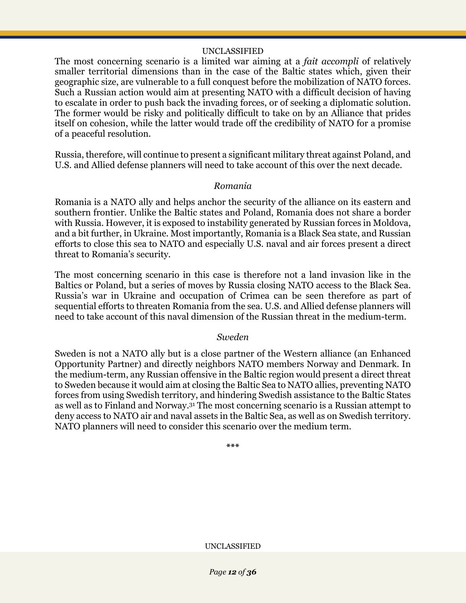The most concerning scenario is a limited war aiming at a *fait accompli* of relatively smaller territorial dimensions than in the case of the Baltic states which, given their geographic size, are vulnerable to a full conquest before the mobilization of NATO forces. Such a Russian action would aim at presenting NATO with a difficult decision of having to escalate in order to push back the invading forces, or of seeking a diplomatic solution. The former would be risky and politically difficult to take on by an Alliance that prides itself on cohesion, while the latter would trade off the credibility of NATO for a promise of a peaceful resolution.

Russia, therefore, will continue to present a significant military threat against Poland, and U.S. and Allied defense planners will need to take account of this over the next decade.

## *Romania*

Romania is a NATO ally and helps anchor the security of the alliance on its eastern and southern frontier. Unlike the Baltic states and Poland, Romania does not share a border with Russia. However, it is exposed to instability generated by Russian forces in Moldova, and a bit further, in Ukraine. Most importantly, Romania is a Black Sea state, and Russian efforts to close this sea to NATO and especially U.S. naval and air forces present a direct threat to Romania's security.

The most concerning scenario in this case is therefore not a land invasion like in the Baltics or Poland, but a series of moves by Russia closing NATO access to the Black Sea. Russia's war in Ukraine and occupation of Crimea can be seen therefore as part of sequential efforts to threaten Romania from the sea. U.S. and Allied defense planners will need to take account of this naval dimension of the Russian threat in the medium-term.

## *Sweden*

Sweden is not a NATO ally but is a close partner of the Western alliance (an Enhanced Opportunity Partner) and directly neighbors NATO members Norway and Denmark. In the medium-term, any Russian offensive in the Baltic region would present a direct threat to Sweden because it would aim at closing the Baltic Sea to NATO allies, preventing NATO forces from using Swedish territory, and hindering Swedish assistance to the Baltic States as well as to Finland and Norway.31 The most concerning scenario is a Russian attempt to deny access to NATO air and naval assets in the Baltic Sea, as well as on Swedish territory. NATO planners will need to consider this scenario over the medium term.

**\*\*\***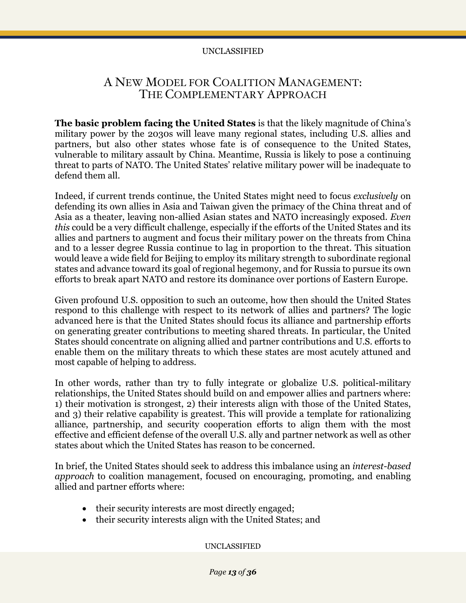# A NEW MODEL FOR COALITION MANAGEMENT: THE COMPLEMENTARY APPROACH

**The basic problem facing the United States** is that the likely magnitude of China's military power by the 2030s will leave many regional states, including U.S. allies and partners, but also other states whose fate is of consequence to the United States, vulnerable to military assault by China. Meantime, Russia is likely to pose a continuing threat to parts of NATO. The United States' relative military power will be inadequate to defend them all.

Indeed, if current trends continue, the United States might need to focus *exclusively* on defending its own allies in Asia and Taiwan given the primacy of the China threat and of Asia as a theater, leaving non-allied Asian states and NATO increasingly exposed. *Even this* could be a very difficult challenge, especially if the efforts of the United States and its allies and partners to augment and focus their military power on the threats from China and to a lesser degree Russia continue to lag in proportion to the threat. This situation would leave a wide field for Beijing to employ its military strength to subordinate regional states and advance toward its goal of regional hegemony, and for Russia to pursue its own efforts to break apart NATO and restore its dominance over portions of Eastern Europe.

Given profound U.S. opposition to such an outcome, how then should the United States respond to this challenge with respect to its network of allies and partners? The logic advanced here is that the United States should focus its alliance and partnership efforts on generating greater contributions to meeting shared threats. In particular, the United States should concentrate on aligning allied and partner contributions and U.S. efforts to enable them on the military threats to which these states are most acutely attuned and most capable of helping to address.

In other words, rather than try to fully integrate or globalize U.S. political-military relationships, the United States should build on and empower allies and partners where: 1) their motivation is strongest, 2) their interests align with those of the United States, and 3) their relative capability is greatest. This will provide a template for rationalizing alliance, partnership, and security cooperation efforts to align them with the most effective and efficient defense of the overall U.S. ally and partner network as well as other states about which the United States has reason to be concerned.

In brief, the United States should seek to address this imbalance using an *interest-based approach* to coalition management, focused on encouraging, promoting, and enabling allied and partner efforts where:

- their security interests are most directly engaged;
- their security interests align with the United States; and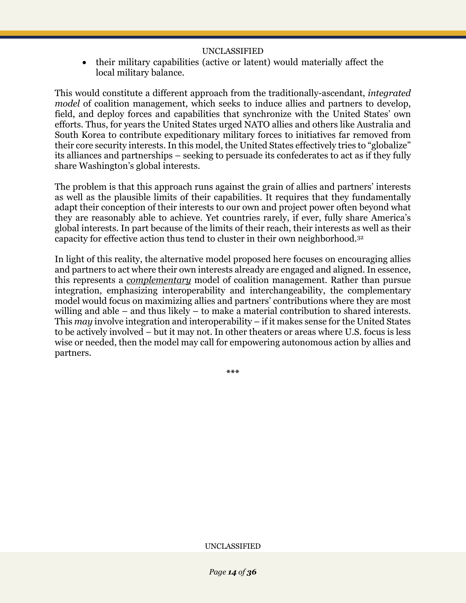• their military capabilities (active or latent) would materially affect the local military balance.

This would constitute a different approach from the traditionally-ascendant, *integrated model* of coalition management, which seeks to induce allies and partners to develop, field, and deploy forces and capabilities that synchronize with the United States' own efforts. Thus, for years the United States urged NATO allies and others like Australia and South Korea to contribute expeditionary military forces to initiatives far removed from their core security interests. In this model, the United States effectively tries to "globalize" its alliances and partnerships – seeking to persuade its confederates to act as if they fully share Washington's global interests.

The problem is that this approach runs against the grain of allies and partners' interests as well as the plausible limits of their capabilities. It requires that they fundamentally adapt their conception of their interests to our own and project power often beyond what they are reasonably able to achieve. Yet countries rarely, if ever, fully share America's global interests. In part because of the limits of their reach, their interests as well as their capacity for effective action thus tend to cluster in their own neighborhood.32

In light of this reality, the alternative model proposed here focuses on encouraging allies and partners to act where their own interests already are engaged and aligned. In essence, this represents a *complementary* model of coalition management. Rather than pursue integration, emphasizing interoperability and interchangeability, the complementary model would focus on maximizing allies and partners' contributions where they are most willing and able – and thus likely – to make a material contribution to shared interests. This *may* involve integration and interoperability – if it makes sense for the United States to be actively involved – but it may not. In other theaters or areas where U.S. focus is less wise or needed, then the model may call for empowering autonomous action by allies and partners.

**\*\*\***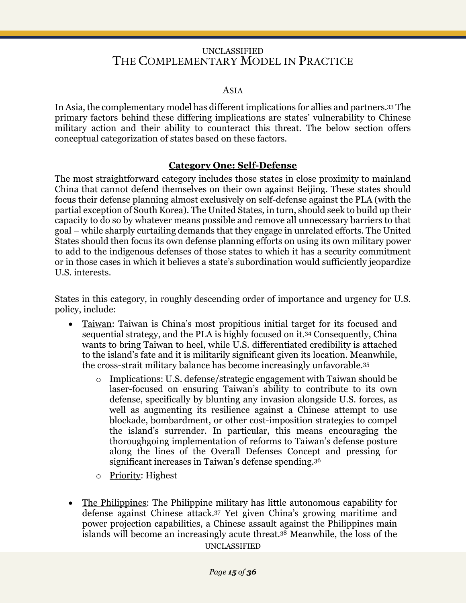## UNCLASSIFIED THE COMPLEMENTARY MODEL IN PRACTICE

## ASIA

In Asia, the complementary model has different implications for allies and partners.33 The primary factors behind these differing implications are states' vulnerability to Chinese military action and their ability to counteract this threat. The below section offers conceptual categorization of states based on these factors.

## **Category One: Self-Defense**

The most straightforward category includes those states in close proximity to mainland China that cannot defend themselves on their own against Beijing. These states should focus their defense planning almost exclusively on self-defense against the PLA (with the partial exception of South Korea). The United States, in turn, should seek to build up their capacity to do so by whatever means possible and remove all unnecessary barriers to that goal – while sharply curtailing demands that they engage in unrelated efforts. The United States should then focus its own defense planning efforts on using its own military power to add to the indigenous defenses of those states to which it has a security commitment or in those cases in which it believes a state's subordination would sufficiently jeopardize U.S. interests.

States in this category, in roughly descending order of importance and urgency for U.S. policy, include:

- Taiwan: Taiwan is China's most propitious initial target for its focused and sequential strategy, and the PLA is highly focused on it.34 Consequently, China wants to bring Taiwan to heel, while U.S. differentiated credibility is attached to the island's fate and it is militarily significant given its location. Meanwhile, the cross-strait military balance has become increasingly unfavorable.35
	- o Implications: U.S. defense/strategic engagement with Taiwan should be laser-focused on ensuring Taiwan's ability to contribute to its own defense, specifically by blunting any invasion alongside U.S. forces, as well as augmenting its resilience against a Chinese attempt to use blockade, bombardment, or other cost-imposition strategies to compel the island's surrender. In particular, this means encouraging the thoroughgoing implementation of reforms to Taiwan's defense posture along the lines of the Overall Defenses Concept and pressing for significant increases in Taiwan's defense spending.36
	- o Priority: Highest
- UNCLASSIFIED • The Philippines: The Philippine military has little autonomous capability for defense against Chinese attack.37 Yet given China's growing maritime and power projection capabilities, a Chinese assault against the Philippines main islands will become an increasingly acute threat.38 Meanwhile, the loss of the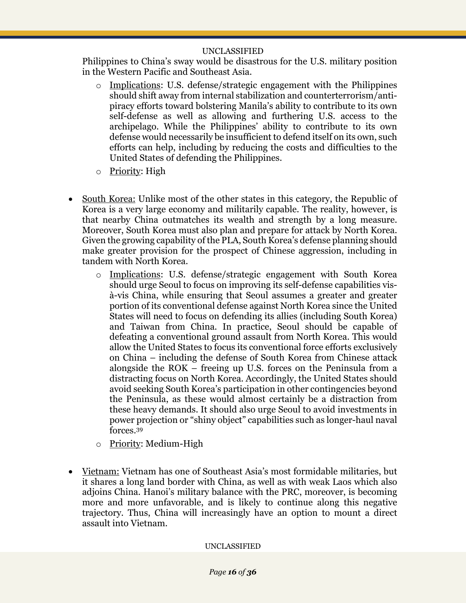Philippines to China's sway would be disastrous for the U.S. military position in the Western Pacific and Southeast Asia.

- o Implications: U.S. defense/strategic engagement with the Philippines should shift away from internal stabilization and counterterrorism/antipiracy efforts toward bolstering Manila's ability to contribute to its own self-defense as well as allowing and furthering U.S. access to the archipelago. While the Philippines' ability to contribute to its own defense would necessarily be insufficient to defend itself on its own, such efforts can help, including by reducing the costs and difficulties to the United States of defending the Philippines.
- o Priority: High
- South Korea: Unlike most of the other states in this category, the Republic of Korea is a very large economy and militarily capable. The reality, however, is that nearby China outmatches its wealth and strength by a long measure. Moreover, South Korea must also plan and prepare for attack by North Korea. Given the growing capability of the PLA, South Korea's defense planning should make greater provision for the prospect of Chinese aggression, including in tandem with North Korea.
	- o Implications: U.S. defense/strategic engagement with South Korea should urge Seoul to focus on improving its self-defense capabilities visà-vis China, while ensuring that Seoul assumes a greater and greater portion of its conventional defense against North Korea since the United States will need to focus on defending its allies (including South Korea) and Taiwan from China. In practice, Seoul should be capable of defeating a conventional ground assault from North Korea. This would allow the United States to focus its conventional force efforts exclusively on China – including the defense of South Korea from Chinese attack alongside the ROK – freeing up U.S. forces on the Peninsula from a distracting focus on North Korea. Accordingly, the United States should avoid seeking South Korea's participation in other contingencies beyond the Peninsula, as these would almost certainly be a distraction from these heavy demands. It should also urge Seoul to avoid investments in power projection or "shiny object" capabilities such as longer-haul naval forces.39
	- o Priority: Medium-High
- Vietnam: Vietnam has one of Southeast Asia's most formidable militaries, but it shares a long land border with China, as well as with weak Laos which also adjoins China. Hanoi's military balance with the PRC, moreover, is becoming more and more unfavorable, and is likely to continue along this negative trajectory. Thus, China will increasingly have an option to mount a direct assault into Vietnam.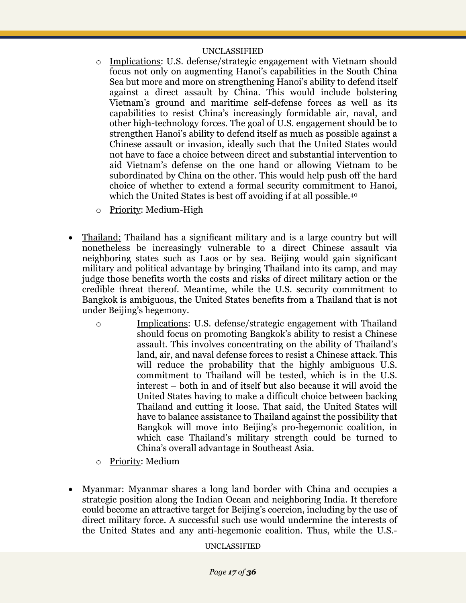- o Implications: U.S. defense/strategic engagement with Vietnam should focus not only on augmenting Hanoi's capabilities in the South China Sea but more and more on strengthening Hanoi's ability to defend itself against a direct assault by China. This would include bolstering Vietnam's ground and maritime self-defense forces as well as its capabilities to resist China's increasingly formidable air, naval, and other high-technology forces. The goal of U.S. engagement should be to strengthen Hanoi's ability to defend itself as much as possible against a Chinese assault or invasion, ideally such that the United States would not have to face a choice between direct and substantial intervention to aid Vietnam's defense on the one hand or allowing Vietnam to be subordinated by China on the other. This would help push off the hard choice of whether to extend a formal security commitment to Hanoi, which the United States is best off avoiding if at all possible.<sup>40</sup>
- o Priority: Medium-High
- Thailand: Thailand has a significant military and is a large country but will nonetheless be increasingly vulnerable to a direct Chinese assault via neighboring states such as Laos or by sea. Beijing would gain significant military and political advantage by bringing Thailand into its camp, and may judge those benefits worth the costs and risks of direct military action or the credible threat thereof. Meantime, while the U.S. security commitment to Bangkok is ambiguous, the United States benefits from a Thailand that is not under Beijing's hegemony.
	- o Implications: U.S. defense/strategic engagement with Thailand should focus on promoting Bangkok's ability to resist a Chinese assault. This involves concentrating on the ability of Thailand's land, air, and naval defense forces to resist a Chinese attack. This will reduce the probability that the highly ambiguous U.S. commitment to Thailand will be tested, which is in the U.S. interest – both in and of itself but also because it will avoid the United States having to make a difficult choice between backing Thailand and cutting it loose. That said, the United States will have to balance assistance to Thailand against the possibility that Bangkok will move into Beijing's pro-hegemonic coalition, in which case Thailand's military strength could be turned to China's overall advantage in Southeast Asia.
	- o Priority: Medium
- Myanmar: Myanmar shares a long land border with China and occupies a strategic position along the Indian Ocean and neighboring India. It therefore could become an attractive target for Beijing's coercion, including by the use of direct military force. A successful such use would undermine the interests of the United States and any anti-hegemonic coalition. Thus, while the U.S.-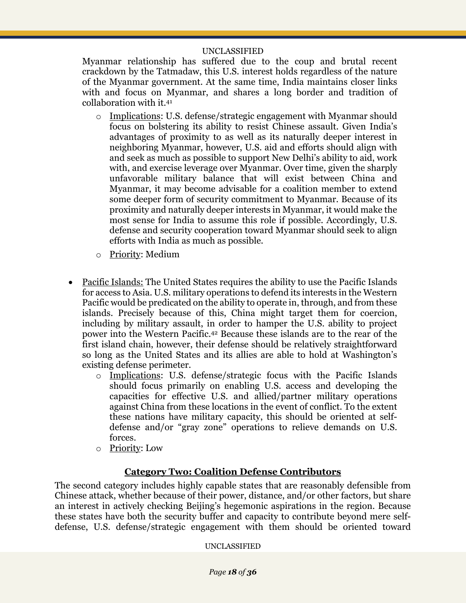Myanmar relationship has suffered due to the coup and brutal recent crackdown by the Tatmadaw, this U.S. interest holds regardless of the nature of the Myanmar government. At the same time, India maintains closer links with and focus on Myanmar, and shares a long border and tradition of collaboration with it.41

- $\circ$  Implications: U.S. defense/strategic engagement with Myanmar should focus on bolstering its ability to resist Chinese assault. Given India's advantages of proximity to as well as its naturally deeper interest in neighboring Myanmar, however, U.S. aid and efforts should align with and seek as much as possible to support New Delhi's ability to aid, work with, and exercise leverage over Myanmar. Over time, given the sharply unfavorable military balance that will exist between China and Myanmar, it may become advisable for a coalition member to extend some deeper form of security commitment to Myanmar. Because of its proximity and naturally deeper interests in Myanmar, it would make the most sense for India to assume this role if possible. Accordingly, U.S. defense and security cooperation toward Myanmar should seek to align efforts with India as much as possible.
- o Priority: Medium
- Pacific Islands: The United States requires the ability to use the Pacific Islands for access to Asia. U.S. military operations to defend its interests in the Western Pacific would be predicated on the ability to operate in, through, and from these islands. Precisely because of this, China might target them for coercion, including by military assault, in order to hamper the U.S. ability to project power into the Western Pacific. <sup>42</sup> Because these islands are to the rear of the first island chain, however, their defense should be relatively straightforward so long as the United States and its allies are able to hold at Washington's existing defense perimeter.
	- o Implications: U.S. defense/strategic focus with the Pacific Islands should focus primarily on enabling U.S. access and developing the capacities for effective U.S. and allied/partner military operations against China from these locations in the event of conflict. To the extent these nations have military capacity, this should be oriented at selfdefense and/or "gray zone" operations to relieve demands on U.S. forces.
	- o Priority: Low

## **Category Two: Coalition Defense Contributors**

The second category includes highly capable states that are reasonably defensible from Chinese attack, whether because of their power, distance, and/or other factors, but share an interest in actively checking Beijing's hegemonic aspirations in the region. Because these states have both the security buffer and capacity to contribute beyond mere selfdefense, U.S. defense/strategic engagement with them should be oriented toward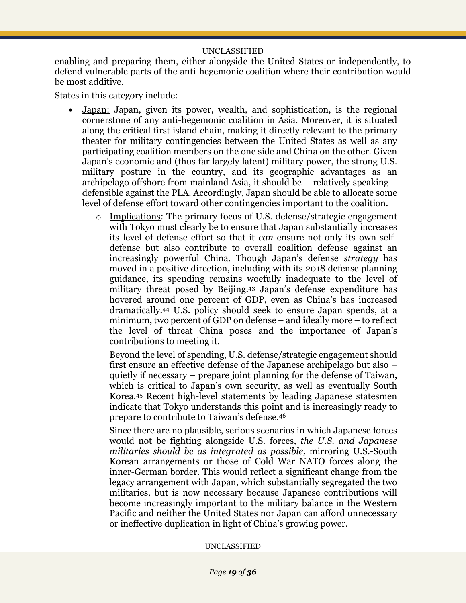enabling and preparing them, either alongside the United States or independently, to defend vulnerable parts of the anti-hegemonic coalition where their contribution would be most additive.

States in this category include:

- Japan: Japan, given its power, wealth, and sophistication, is the regional cornerstone of any anti-hegemonic coalition in Asia. Moreover, it is situated along the critical first island chain, making it directly relevant to the primary theater for military contingencies between the United States as well as any participating coalition members on the one side and China on the other. Given Japan's economic and (thus far largely latent) military power, the strong U.S. military posture in the country, and its geographic advantages as an archipelago offshore from mainland Asia, it should be – relatively speaking – defensible against the PLA. Accordingly, Japan should be able to allocate some level of defense effort toward other contingencies important to the coalition.
	- o Implications: The primary focus of U.S. defense/strategic engagement with Tokyo must clearly be to ensure that Japan substantially increases its level of defense effort so that it *can* ensure not only its own selfdefense but also contribute to overall coalition defense against an increasingly powerful China. Though Japan's defense *strategy* has moved in a positive direction, including with its 2018 defense planning guidance, its spending remains woefully inadequate to the level of military threat posed by Beijing. <sup>43</sup> Japan's defense expenditure has hovered around one percent of GDP, even as China's has increased dramatically.44 U.S. policy should seek to ensure Japan spends, at a minimum, two percent of GDP on defense – and ideally more – to reflect the level of threat China poses and the importance of Japan's contributions to meeting it.

Beyond the level of spending, U.S. defense/strategic engagement should first ensure an effective defense of the Japanese archipelago but also – quietly if necessary – prepare joint planning for the defense of Taiwan, which is critical to Japan's own security, as well as eventually South Korea.45 Recent high-level statements by leading Japanese statesmen indicate that Tokyo understands this point and is increasingly ready to prepare to contribute to Taiwan's defense.46

Since there are no plausible, serious scenarios in which Japanese forces would not be fighting alongside U.S. forces, *the U.S. and Japanese militaries should be as integrated as possible*, mirroring U.S.-South Korean arrangements or those of Cold War NATO forces along the inner-German border. This would reflect a significant change from the legacy arrangement with Japan, which substantially segregated the two militaries, but is now necessary because Japanese contributions will become increasingly important to the military balance in the Western Pacific and neither the United States nor Japan can afford unnecessary or ineffective duplication in light of China's growing power.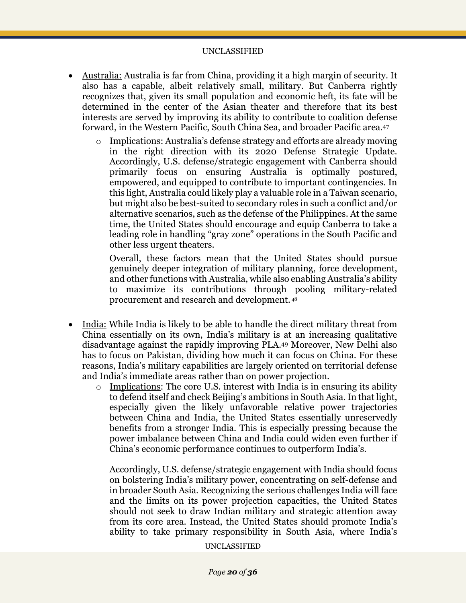- Australia: Australia is far from China, providing it a high margin of security. It also has a capable, albeit relatively small, military. But Canberra rightly recognizes that, given its small population and economic heft, its fate will be determined in the center of the Asian theater and therefore that its best interests are served by improving its ability to contribute to coalition defense forward, in the Western Pacific, South China Sea, and broader Pacific area.47
	- o Implications: Australia's defense strategy and efforts are already moving in the right direction with its 2020 Defense Strategic Update. Accordingly, U.S. defense/strategic engagement with Canberra should primarily focus on ensuring Australia is optimally postured, empowered, and equipped to contribute to important contingencies. In this light, Australia could likely play a valuable role in a Taiwan scenario, but might also be best-suited to secondary roles in such a conflict and/or alternative scenarios, such as the defense of the Philippines. At the same time, the United States should encourage and equip Canberra to take a leading role in handling "gray zone" operations in the South Pacific and other less urgent theaters.

Overall, these factors mean that the United States should pursue genuinely deeper integration of military planning, force development, and other functions with Australia, while also enabling Australia's ability to maximize its contributions through pooling military-related procurement and research and development. 48

- India: While India is likely to be able to handle the direct military threat from China essentially on its own, India's military is at an increasing qualitative disadvantage against the rapidly improving PLA.49 Moreover, New Delhi also has to focus on Pakistan, dividing how much it can focus on China. For these reasons, India's military capabilities are largely oriented on territorial defense and India's immediate areas rather than on power projection.
	- $\circ$  Implications: The core U.S. interest with India is in ensuring its ability to defend itself and check Beijing's ambitions in South Asia. In that light, especially given the likely unfavorable relative power trajectories between China and India, the United States essentially unreservedly benefits from a stronger India. This is especially pressing because the power imbalance between China and India could widen even further if China's economic performance continues to outperform India's.

Accordingly, U.S. defense/strategic engagement with India should focus on bolstering India's military power, concentrating on self-defense and in broader South Asia. Recognizing the serious challenges India will face and the limits on its power projection capacities, the United States should not seek to draw Indian military and strategic attention away from its core area. Instead, the United States should promote India's ability to take primary responsibility in South Asia, where India's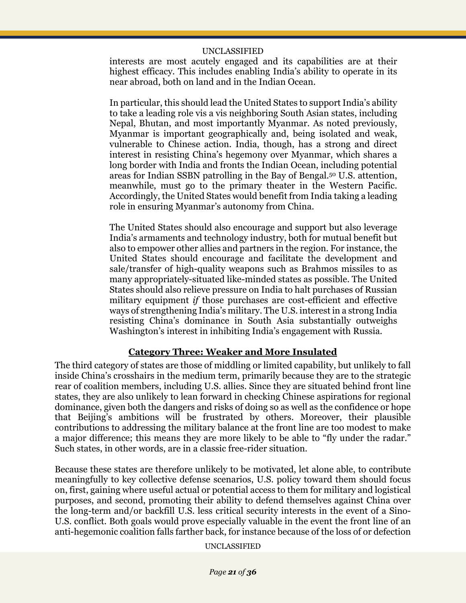interests are most acutely engaged and its capabilities are at their highest efficacy. This includes enabling India's ability to operate in its near abroad, both on land and in the Indian Ocean.

In particular, this should lead the United States to support India's ability to take a leading role vis a vis neighboring South Asian states, including Nepal, Bhutan, and most importantly Myanmar. As noted previously, Myanmar is important geographically and, being isolated and weak, vulnerable to Chinese action. India, though, has a strong and direct interest in resisting China's hegemony over Myanmar, which shares a long border with India and fronts the Indian Ocean, including potential areas for Indian SSBN patrolling in the Bay of Bengal.50 U.S. attention, meanwhile, must go to the primary theater in the Western Pacific. Accordingly, the United States would benefit from India taking a leading role in ensuring Myanmar's autonomy from China.

The United States should also encourage and support but also leverage India's armaments and technology industry, both for mutual benefit but also to empower other allies and partners in the region. For instance, the United States should encourage and facilitate the development and sale/transfer of high-quality weapons such as Brahmos missiles to as many appropriately-situated like-minded states as possible. The United States should also relieve pressure on India to halt purchases of Russian military equipment *if* those purchases are cost-efficient and effective ways of strengthening India's military. The U.S. interest in a strong India resisting China's dominance in South Asia substantially outweighs Washington's interest in inhibiting India's engagement with Russia.

# **Category Three: Weaker and More Insulated**

The third category of states are those of middling or limited capability, but unlikely to fall inside China's crosshairs in the medium term, primarily because they are to the strategic rear of coalition members, including U.S. allies. Since they are situated behind front line states, they are also unlikely to lean forward in checking Chinese aspirations for regional dominance, given both the dangers and risks of doing so as well as the confidence or hope that Beijing's ambitions will be frustrated by others. Moreover, their plausible contributions to addressing the military balance at the front line are too modest to make a major difference; this means they are more likely to be able to "fly under the radar." Such states, in other words, are in a classic free-rider situation.

Because these states are therefore unlikely to be motivated, let alone able, to contribute meaningfully to key collective defense scenarios, U.S. policy toward them should focus on, first, gaining where useful actual or potential access to them for military and logistical purposes, and second, promoting their ability to defend themselves against China over the long-term and/or backfill U.S. less critical security interests in the event of a Sino-U.S. conflict. Both goals would prove especially valuable in the event the front line of an anti-hegemonic coalition falls farther back, for instance because of the loss of or defection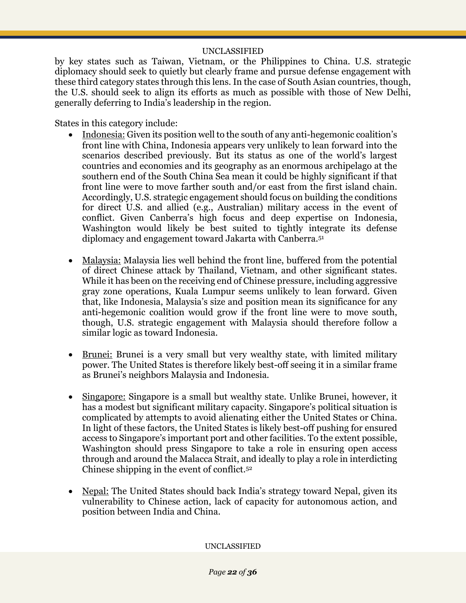by key states such as Taiwan, Vietnam, or the Philippines to China. U.S. strategic diplomacy should seek to quietly but clearly frame and pursue defense engagement with these third category states through this lens. In the case of South Asian countries, though, the U.S. should seek to align its efforts as much as possible with those of New Delhi, generally deferring to India's leadership in the region.

States in this category include:

- Indonesia: Given its position well to the south of any anti-hegemonic coalition's front line with China, Indonesia appears very unlikely to lean forward into the scenarios described previously. But its status as one of the world's largest countries and economies and its geography as an enormous archipelago at the southern end of the South China Sea mean it could be highly significant if that front line were to move farther south and/or east from the first island chain. Accordingly, U.S. strategic engagement should focus on building the conditions for direct U.S. and allied (e.g., Australian) military access in the event of conflict. Given Canberra's high focus and deep expertise on Indonesia, Washington would likely be best suited to tightly integrate its defense diplomacy and engagement toward Jakarta with Canberra.51
- Malaysia: Malaysia lies well behind the front line, buffered from the potential of direct Chinese attack by Thailand, Vietnam, and other significant states. While it has been on the receiving end of Chinese pressure, including aggressive gray zone operations, Kuala Lumpur seems unlikely to lean forward. Given that, like Indonesia, Malaysia's size and position mean its significance for any anti-hegemonic coalition would grow if the front line were to move south, though, U.S. strategic engagement with Malaysia should therefore follow a similar logic as toward Indonesia.
- Brunei: Brunei is a very small but very wealthy state, with limited military power. The United States is therefore likely best-off seeing it in a similar frame as Brunei's neighbors Malaysia and Indonesia.
- Singapore: Singapore is a small but wealthy state. Unlike Brunei, however, it has a modest but significant military capacity. Singapore's political situation is complicated by attempts to avoid alienating either the United States or China. In light of these factors, the United States is likely best-off pushing for ensured access to Singapore's important port and other facilities. To the extent possible, Washington should press Singapore to take a role in ensuring open access through and around the Malacca Strait, and ideally to play a role in interdicting Chinese shipping in the event of conflict.52
- Nepal: The United States should back India's strategy toward Nepal, given its vulnerability to Chinese action, lack of capacity for autonomous action, and position between India and China.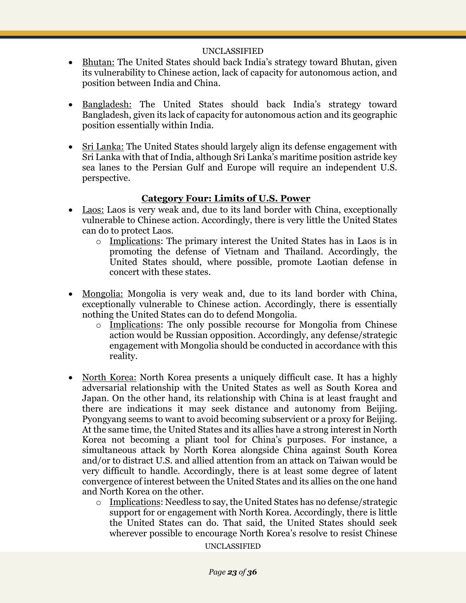- Bhutan: The United States should back India's strategy toward Bhutan, given its vulnerability to Chinese action, lack of capacity for autonomous action, and position between India and China.
- <u>Bangladesh:</u> The United States should back India's strategy toward Bangladesh, given its lack of capacity for autonomous action and its geographic position essentially within India.
- Sri Lanka: The United States should largely align its defense engagement with Sri Lanka with that of India, although Sri Lanka's maritime position astride key sea lanes to the Persian Gulf and Europe will require an independent U.S. perspective.

# **Category Four: Limits of U.S. Power**

- Laos: Laos is very weak and, due to its land border with China, exceptionally vulnerable to Chinese action. Accordingly, there is very little the United States can do to protect Laos.
	- o Implications: The primary interest the United States has in Laos is in promoting the defense of Vietnam and Thailand. Accordingly, the United States should, where possible, promote Laotian defense in concert with these states.
- Mongolia: Mongolia is very weak and, due to its land border with China, exceptionally vulnerable to Chinese action. Accordingly, there is essentially nothing the United States can do to defend Mongolia.
	- o Implications: The only possible recourse for Mongolia from Chinese action would be Russian opposition. Accordingly, any defense/strategic engagement with Mongolia should be conducted in accordance with this reality.
- North Korea: North Korea presents a uniquely difficult case. It has a highly adversarial relationship with the United States as well as South Korea and Japan. On the other hand, its relationship with China is at least fraught and there are indications it may seek distance and autonomy from Beijing. Pyongyang seems to want to avoid becoming subservient or a proxy for Beijing. At the same time, the United States and its allies have a strong interest in North Korea not becoming a pliant tool for China's purposes. For instance, a simultaneous attack by North Korea alongside China against South Korea and/or to distract U.S. and allied attention from an attack on Taiwan would be very difficult to handle. Accordingly, there is at least some degree of latent convergence of interest between the United States and its allies on the one hand and North Korea on the other.
	- o Implications: Needless to say, the United States has no defense/strategic support for or engagement with North Korea. Accordingly, there is little the United States can do. That said, the United States should seek wherever possible to encourage North Korea's resolve to resist Chinese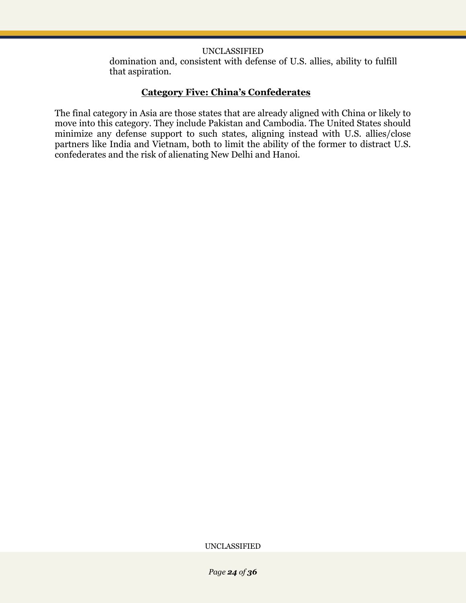domination and, consistent with defense of U.S. allies, ability to fulfill that aspiration.

## **Category Five: China's Confederates**

The final category in Asia are those states that are already aligned with China or likely to move into this category. They include Pakistan and Cambodia. The United States should minimize any defense support to such states, aligning instead with U.S. allies/close partners like India and Vietnam, both to limit the ability of the former to distract U.S. confederates and the risk of alienating New Delhi and Hanoi.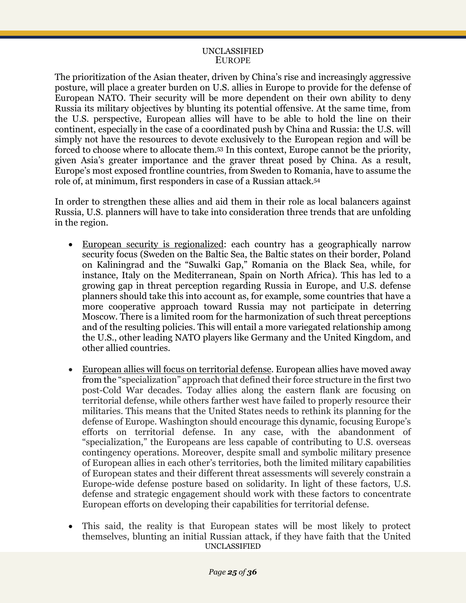#### UNCLASSIFIED **EUROPE**

The prioritization of the Asian theater, driven by China's rise and increasingly aggressive posture, will place a greater burden on U.S. allies in Europe to provide for the defense of European NATO. Their security will be more dependent on their own ability to deny Russia its military objectives by blunting its potential offensive. At the same time, from the U.S. perspective, European allies will have to be able to hold the line on their continent, especially in the case of a coordinated push by China and Russia: the U.S. will simply not have the resources to devote exclusively to the European region and will be forced to choose where to allocate them.53 In this context, Europe cannot be the priority, given Asia's greater importance and the graver threat posed by China. As a result, Europe's most exposed frontline countries, from Sweden to Romania, have to assume the role of, at minimum, first responders in case of a Russian attack.54

In order to strengthen these allies and aid them in their role as local balancers against Russia, U.S. planners will have to take into consideration three trends that are unfolding in the region.

- European security is regionalized: each country has a geographically narrow security focus (Sweden on the Baltic Sea, the Baltic states on their border, Poland on Kaliningrad and the "Suwalki Gap," Romania on the Black Sea, while, for instance, Italy on the Mediterranean, Spain on North Africa). This has led to a growing gap in threat perception regarding Russia in Europe, and U.S. defense planners should take this into account as, for example, some countries that have a more cooperative approach toward Russia may not participate in deterring Moscow. There is a limited room for the harmonization of such threat perceptions and of the resulting policies. This will entail a more variegated relationship among the U.S., other leading NATO players like Germany and the United Kingdom, and other allied countries.
- European allies will focus on territorial defense. European allies have moved away from the "specialization" approach that defined their force structure in the first two post-Cold War decades. Today allies along the eastern flank are focusing on territorial defense, while others farther west have failed to properly resource their militaries. This means that the United States needs to rethink its planning for the defense of Europe. Washington should encourage this dynamic, focusing Europe's efforts on territorial defense. In any case, with the abandonment of "specialization," the Europeans are less capable of contributing to U.S. overseas contingency operations. Moreover, despite small and symbolic military presence of European allies in each other's territories, both the limited military capabilities of European states and their different threat assessments will severely constrain a Europe-wide defense posture based on solidarity. In light of these factors, U.S. defense and strategic engagement should work with these factors to concentrate European efforts on developing their capabilities for territorial defense.
- UNCLASSIFIED • This said, the reality is that European states will be most likely to protect themselves, blunting an initial Russian attack, if they have faith that the United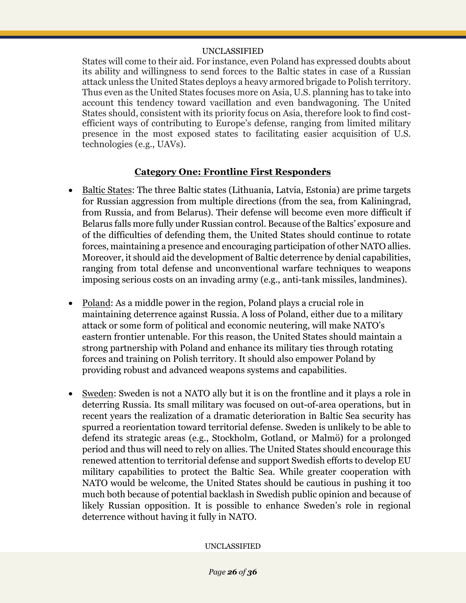States will come to their aid. For instance, even Poland has expressed doubts about its ability and willingness to send forces to the Baltic states in case of a Russian attack unless the United States deploys a heavy armored brigade to Polish territory. Thus even as the United States focuses more on Asia, U.S. planning has to take into account this tendency toward vacillation and even bandwagoning. The United States should, consistent with its priority focus on Asia, therefore look to find costefficient ways of contributing to Europe's defense, ranging from limited military presence in the most exposed states to facilitating easier acquisition of U.S. technologies (e.g., UAVs).

# **Category One: Frontline First Responders**

- Baltic States: The three Baltic states (Lithuania, Latvia, Estonia) are prime targets for Russian aggression from multiple directions (from the sea, from Kaliningrad, from Russia, and from Belarus). Their defense will become even more difficult if Belarus falls more fully under Russian control. Because of the Baltics' exposure and of the difficulties of defending them, the United States should continue to rotate forces, maintaining a presence and encouraging participation of other NATO allies. Moreover, it should aid the development of Baltic deterrence by denial capabilities, ranging from total defense and unconventional warfare techniques to weapons imposing serious costs on an invading army (e.g., anti-tank missiles, landmines).
- Poland: As a middle power in the region, Poland plays a crucial role in maintaining deterrence against Russia. A loss of Poland, either due to a military attack or some form of political and economic neutering, will make NATO's eastern frontier untenable. For this reason, the United States should maintain a strong partnership with Poland and enhance its military ties through rotating forces and training on Polish territory. It should also empower Poland by providing robust and advanced weapons systems and capabilities.
- Sweden: Sweden is not a NATO ally but it is on the frontline and it plays a role in deterring Russia. Its small military was focused on out-of-area operations, but in recent years the realization of a dramatic deterioration in Baltic Sea security has spurred a reorientation toward territorial defense. Sweden is unlikely to be able to defend its strategic areas (e.g., Stockholm, Gotland, or Malmö) for a prolonged period and thus will need to rely on allies. The United States should encourage this renewed attention to territorial defense and support Swedish efforts to develop EU military capabilities to protect the Baltic Sea. While greater cooperation with NATO would be welcome, the United States should be cautious in pushing it too much both because of potential backlash in Swedish public opinion and because of likely Russian opposition. It is possible to enhance Sweden's role in regional deterrence without having it fully in NATO.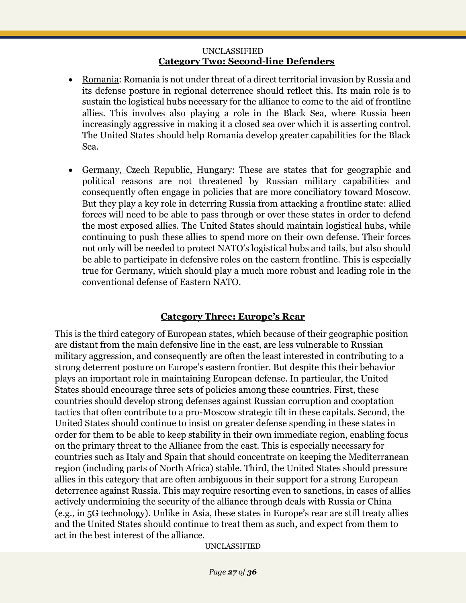## UNCLASSIFIED **Category Two: Second-line Defenders**

- Romania: Romania is not under threat of a direct territorial invasion by Russia and its defense posture in regional deterrence should reflect this. Its main role is to sustain the logistical hubs necessary for the alliance to come to the aid of frontline allies. This involves also playing a role in the Black Sea, where Russia been increasingly aggressive in making it a closed sea over which it is asserting control. The United States should help Romania develop greater capabilities for the Black Sea.
- Germany, Czech Republic, Hungary: These are states that for geographic and political reasons are not threatened by Russian military capabilities and consequently often engage in policies that are more conciliatory toward Moscow. But they play a key role in deterring Russia from attacking a frontline state: allied forces will need to be able to pass through or over these states in order to defend the most exposed allies. The United States should maintain logistical hubs, while continuing to push these allies to spend more on their own defense. Their forces not only will be needed to protect NATO's logistical hubs and tails, but also should be able to participate in defensive roles on the eastern frontline. This is especially true for Germany, which should play a much more robust and leading role in the conventional defense of Eastern NATO.

# **Category Three: Europe's Rear**

This is the third category of European states, which because of their geographic position are distant from the main defensive line in the east, are less vulnerable to Russian military aggression, and consequently are often the least interested in contributing to a strong deterrent posture on Europe's eastern frontier. But despite this their behavior plays an important role in maintaining European defense. In particular, the United States should encourage three sets of policies among these countries. First, these countries should develop strong defenses against Russian corruption and cooptation tactics that often contribute to a pro-Moscow strategic tilt in these capitals. Second, the United States should continue to insist on greater defense spending in these states in order for them to be able to keep stability in their own immediate region, enabling focus on the primary threat to the Alliance from the east. This is especially necessary for countries such as Italy and Spain that should concentrate on keeping the Mediterranean region (including parts of North Africa) stable. Third, the United States should pressure allies in this category that are often ambiguous in their support for a strong European deterrence against Russia. This may require resorting even to sanctions, in cases of allies actively undermining the security of the alliance through deals with Russia or China (e.g., in 5G technology). Unlike in Asia, these states in Europe's rear are still treaty allies and the United States should continue to treat them as such, and expect from them to act in the best interest of the alliance.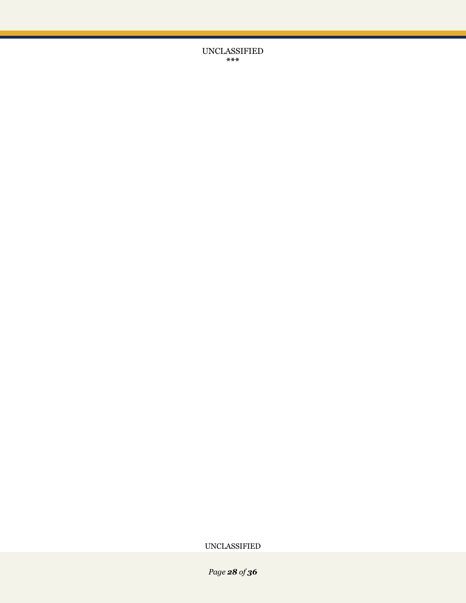UNCLASSIFIED **\*\*\***

UNCLASSIFIED

*Page 28 of 36*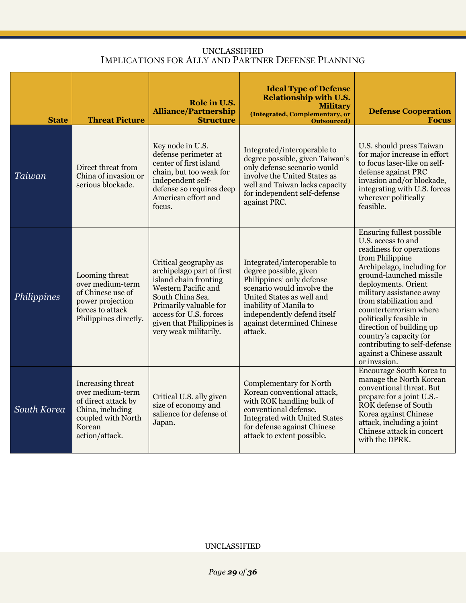| <b>State</b>       | <b>Threat Picture</b>                                                                                                              | Role in U.S.<br><b>Alliance/Partnership</b><br><b>Structure</b>                                                                                                                                                                         | <b>Ideal Type of Defense</b><br><b>Relationship with U.S.</b><br><b>Military</b><br>(Integrated, Complementary, or<br><b>Outsourced</b>                                                                                                         | <b>Defense Cooperation</b><br><b>Focus</b>                                                                                                                                                                                                                                                                                                                                                                                          |
|--------------------|------------------------------------------------------------------------------------------------------------------------------------|-----------------------------------------------------------------------------------------------------------------------------------------------------------------------------------------------------------------------------------------|-------------------------------------------------------------------------------------------------------------------------------------------------------------------------------------------------------------------------------------------------|-------------------------------------------------------------------------------------------------------------------------------------------------------------------------------------------------------------------------------------------------------------------------------------------------------------------------------------------------------------------------------------------------------------------------------------|
| Taiwan             | Direct threat from<br>China of invasion or<br>serious blockade.                                                                    | Key node in U.S.<br>defense perimeter at<br>center of first island<br>chain, but too weak for<br>independent self-<br>defense so requires deep<br>American effort and<br>focus.                                                         | Integrated/interoperable to<br>degree possible, given Taiwan's<br>only defense scenario would<br>involve the United States as<br>well and Taiwan lacks capacity<br>for independent self-defense<br>against PRC.                                 | U.S. should press Taiwan<br>for major increase in effort<br>to focus laser-like on self-<br>defense against PRC<br>invasion and/or blockade,<br>integrating with U.S. forces<br>wherever politically<br>feasible.                                                                                                                                                                                                                   |
| <b>Philippines</b> | Looming threat<br>over medium-term<br>of Chinese use of<br>power projection<br>forces to attack<br>Philippines directly.           | Critical geography as<br>archipelago part of first<br>island chain fronting<br><b>Western Pacific and</b><br>South China Sea.<br>Primarily valuable for<br>access for U.S. forces<br>given that Philippines is<br>very weak militarily. | Integrated/interoperable to<br>degree possible, given<br>Philippines' only defense<br>scenario would involve the<br>United States as well and<br>inability of Manila to<br>independently defend itself<br>against determined Chinese<br>attack. | <b>Ensuring fullest possible</b><br>U.S. access to and<br>readiness for operations<br>from Philippine<br>Archipelago, including for<br>ground-launched missile<br>deployments. Orient<br>military assistance away<br>from stabilization and<br>counterterrorism where<br>politically feasible in<br>direction of building up<br>country's capacity for<br>contributing to self-defense<br>against a Chinese assault<br>or invasion. |
| South Korea        | Increasing threat<br>over medium-term<br>of direct attack by<br>China, including<br>coupled with North<br>Korean<br>action/attack. | Critical U.S. ally given<br>size of economy and<br>salience for defense of<br>Japan.                                                                                                                                                    | Complementary for North<br>Korean conventional attack,<br>with ROK handling bulk of<br>conventional defense.<br><b>Integrated with United States</b><br>for defense against Chinese<br>attack to extent possible.                               | <b>Encourage South Korea to</b><br>manage the North Korean<br>conventional threat. But<br>prepare for a joint U.S.-<br><b>ROK</b> defense of South<br>Korea against Chinese<br>attack, including a joint<br>Chinese attack in concert<br>with the DPRK.                                                                                                                                                                             |

## UNCLASSIFIED IMPLICATIONS FOR ALLY AND PARTNER DEFENSE PLANNING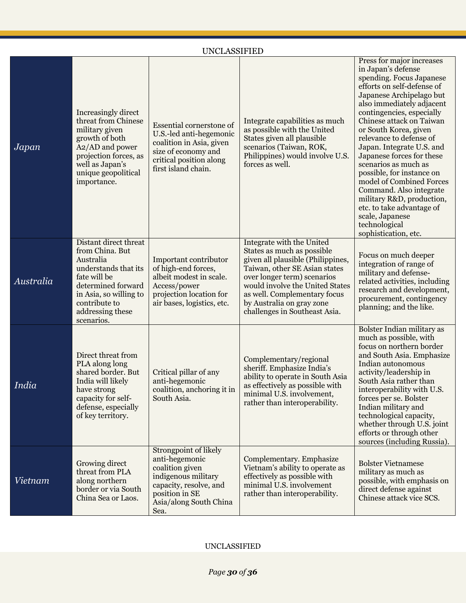| UNCLASSIFIED |                                                                                                                                                                                                  |                                                                                                                                                                 |                                                                                                                                                                                                                                                                                               |                                                                                                                                                                                                                                                                                                                                                                                                                                                                                                                                                                             |
|--------------|--------------------------------------------------------------------------------------------------------------------------------------------------------------------------------------------------|-----------------------------------------------------------------------------------------------------------------------------------------------------------------|-----------------------------------------------------------------------------------------------------------------------------------------------------------------------------------------------------------------------------------------------------------------------------------------------|-----------------------------------------------------------------------------------------------------------------------------------------------------------------------------------------------------------------------------------------------------------------------------------------------------------------------------------------------------------------------------------------------------------------------------------------------------------------------------------------------------------------------------------------------------------------------------|
| Japan        | Increasingly direct<br>threat from Chinese<br>military given<br>growth of both<br>A2/AD and power<br>projection forces, as<br>well as Japan's<br>unique geopolitical<br>importance.              | Essential cornerstone of<br>U.S.-led anti-hegemonic<br>coalition in Asia, given<br>size of economy and<br>critical position along<br>first island chain.        | Integrate capabilities as much<br>as possible with the United<br>States given all plausible<br>scenarios (Taiwan, ROK,<br>Philippines) would involve U.S.<br>forces as well.                                                                                                                  | Press for major increases<br>in Japan's defense<br>spending. Focus Japanese<br>efforts on self-defense of<br>Japanese Archipelago but<br>also immediately adjacent<br>contingencies, especially<br>Chinese attack on Taiwan<br>or South Korea, given<br>relevance to defense of<br>Japan. Integrate U.S. and<br>Japanese forces for these<br>scenarios as much as<br>possible, for instance on<br>model of Combined Forces<br>Command. Also integrate<br>military R&D, production,<br>etc. to take advantage of<br>scale, Japanese<br>technological<br>sophistication, etc. |
| Australia    | Distant direct threat<br>from China. But<br>Australia<br>understands that its<br>fate will be<br>determined forward<br>in Asia, so willing to<br>contribute to<br>addressing these<br>scenarios. | Important contributor<br>of high-end forces,<br>albeit modest in scale.<br>Access/power<br>projection location for<br>air bases, logistics, etc.                | Integrate with the United<br>States as much as possible<br>given all plausible (Philippines,<br>Taiwan, other SE Asian states<br>over longer term) scenarios<br>would involve the United States<br>as well. Complementary focus<br>by Australia on gray zone<br>challenges in Southeast Asia. | Focus on much deeper<br>integration of range of<br>military and defense-<br>related activities, including<br>research and development,<br>procurement, contingency<br>planning; and the like.                                                                                                                                                                                                                                                                                                                                                                               |
| India        | Direct threat from<br>PLA along long<br>shared border. But<br>India will likely<br>have strong<br>capacity for self-<br>defense, especially<br>of key territory.                                 | Critical pillar of any<br>anti-hegemonic<br>coalition, anchoring it in<br>South Asia.                                                                           | Complementary/regional<br>sheriff. Emphasize India's<br>ability to operate in South Asia<br>as effectively as possible with<br>minimal U.S. involvement,<br>rather than interoperability.                                                                                                     | Bolster Indian military as<br>much as possible, with<br>focus on northern border<br>and South Asia. Emphasize<br>Indian autonomous<br>activity/leadership in<br>South Asia rather than<br>interoperability with U.S.<br>forces per se. Bolster<br>Indian military and<br>technological capacity,<br>whether through U.S. joint<br>efforts or through other<br>sources (including Russia).                                                                                                                                                                                   |
| Vietnam      | Growing direct<br>threat from PLA<br>along northern<br>border or via South<br>China Sea or Laos.                                                                                                 | Strongpoint of likely<br>anti-hegemonic<br>coalition given<br>indigenous military<br>capacity, resolve, and<br>position in SE<br>Asia/along South China<br>Sea. | Complementary. Emphasize<br>Vietnam's ability to operate as<br>effectively as possible with<br>minimal U.S. involvement<br>rather than interoperability.                                                                                                                                      | <b>Bolster Vietnamese</b><br>military as much as<br>possible, with emphasis on<br>direct defense against<br>Chinese attack vice SCS.                                                                                                                                                                                                                                                                                                                                                                                                                                        |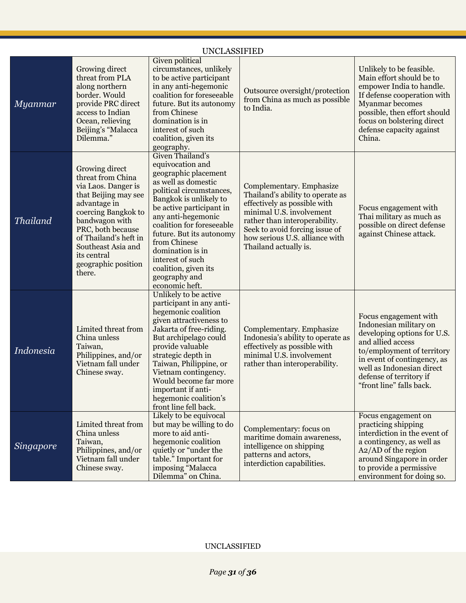| UNCLASSIFIED     |                                                                                                                                                                                                                                                                 |                                                                                                                                                                                                                                                                                                                                                                         |                                                                                                                                                                                                                                                        |                                                                                                                                                                                                                                                      |
|------------------|-----------------------------------------------------------------------------------------------------------------------------------------------------------------------------------------------------------------------------------------------------------------|-------------------------------------------------------------------------------------------------------------------------------------------------------------------------------------------------------------------------------------------------------------------------------------------------------------------------------------------------------------------------|--------------------------------------------------------------------------------------------------------------------------------------------------------------------------------------------------------------------------------------------------------|------------------------------------------------------------------------------------------------------------------------------------------------------------------------------------------------------------------------------------------------------|
| Myanmar          | Growing direct<br>threat from PLA<br>along northern<br>border. Would<br>provide PRC direct<br>access to Indian<br>Ocean, relieving<br>Beijing's "Malacca<br>Dilemma."                                                                                           | Given political<br>circumstances, unlikely<br>to be active participant<br>in any anti-hegemonic<br>coalition for foreseeable<br>future. But its autonomy<br>from Chinese<br>domination is in<br>interest of such<br>coalition, given its<br>geography.                                                                                                                  | Outsource oversight/protection<br>from China as much as possible<br>to India.                                                                                                                                                                          | Unlikely to be feasible.<br>Main effort should be to<br>empower India to handle.<br>If defense cooperation with<br>Myanmar becomes<br>possible, then effort should<br>focus on bolstering direct<br>defense capacity against<br>China.               |
| <b>Thailand</b>  | Growing direct<br>threat from China<br>via Laos. Danger is<br>that Beijing may see<br>advantage in<br>coercing Bangkok to<br>bandwagon with<br>PRC, both because<br>of Thailand's heft in<br>Southeast Asia and<br>its central<br>geographic position<br>there. | Given Thailand's<br>equivocation and<br>geographic placement<br>as well as domestic<br>political circumstances,<br>Bangkok is unlikely to<br>be active participant in<br>any anti-hegemonic<br>coalition for foreseeable<br>future. But its autonomy<br>from Chinese<br>domination is in<br>interest of such<br>coalition, given its<br>geography and<br>economic heft. | Complementary. Emphasize<br>Thailand's ability to operate as<br>effectively as possible with<br>minimal U.S. involvement<br>rather than interoperability.<br>Seek to avoid forcing issue of<br>how serious U.S. alliance with<br>Thailand actually is. | Focus engagement with<br>Thai military as much as<br>possible on direct defense<br>against Chinese attack.                                                                                                                                           |
| <b>Indonesia</b> | Limited threat from<br>China unless<br>Taiwan,<br>Philippines, and/or<br>Vietnam fall under<br>Chinese sway.                                                                                                                                                    | Unlikely to be active<br>participant in any anti-<br>hegemonic coalition<br>given attractiveness to<br>Jakarta of free-riding.<br>But archipelago could<br>provide valuable<br>strategic depth in<br>Taiwan, Philippine, or<br>Vietnam contingency.<br>Would become far more<br>important if anti-<br>hegemonic coalition's<br>front line fell back.                    | Complementary. Emphasize<br>Indonesia's ability to operate as<br>effectively as possible with<br>minimal U.S. involvement<br>rather than interoperability.                                                                                             | Focus engagement with<br>Indonesian military on<br>developing options for U.S.<br>and allied access<br>to/employment of territory<br>in event of contingency, as<br>well as Indonesian direct<br>defense of territory if<br>"front line" falls back. |
| <i>Singapore</i> | Limited threat from<br>China unless<br>Taiwan,<br>Philippines, and/or<br>Vietnam fall under<br>Chinese sway.                                                                                                                                                    | Likely to be equivocal<br>but may be willing to do<br>more to aid anti-<br>hegemonic coalition<br>quietly or "under the<br>table." Important for<br>imposing "Malacca<br>Dilemma" on China.                                                                                                                                                                             | Complementary: focus on<br>maritime domain awareness,<br>intelligence on shipping<br>patterns and actors,<br>interdiction capabilities.                                                                                                                | Focus engagement on<br>practicing shipping<br>interdiction in the event of<br>a contingency, as well as<br>$A2/AD$ of the region<br>around Singapore in order<br>to provide a permissive<br>environment for doing so.                                |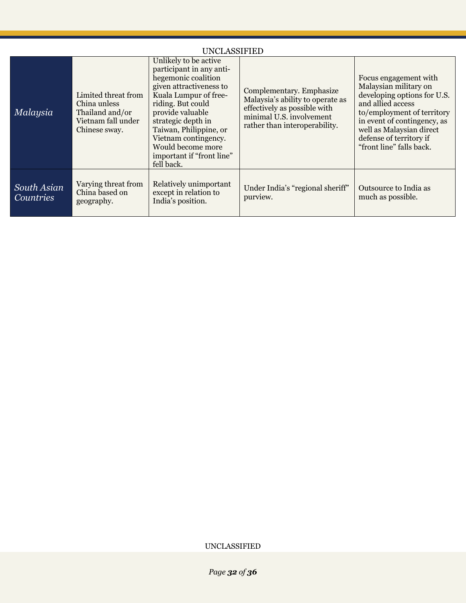| UNCLASSIFIED                    |                                                                                               |                                                                                                                                                                                                                                                                                                               |                                                                                                                                                           |                                                                                                                                                                                                                                                    |
|---------------------------------|-----------------------------------------------------------------------------------------------|---------------------------------------------------------------------------------------------------------------------------------------------------------------------------------------------------------------------------------------------------------------------------------------------------------------|-----------------------------------------------------------------------------------------------------------------------------------------------------------|----------------------------------------------------------------------------------------------------------------------------------------------------------------------------------------------------------------------------------------------------|
| Malaysia                        | Limited threat from<br>China unless<br>Thailand and/or<br>Vietnam fall under<br>Chinese sway. | Unlikely to be active<br>participant in any anti-<br>hegemonic coalition<br>given attractiveness to<br>Kuala Lumpur of free-<br>riding. But could<br>provide valuable<br>strategic depth in<br>Taiwan, Philippine, or<br>Vietnam contingency.<br>Would become more<br>important if "front line"<br>fell back. | Complementary. Emphasize<br>Malaysia's ability to operate as<br>effectively as possible with<br>minimal U.S. involvement<br>rather than interoperability. | Focus engagement with<br>Malaysian military on<br>developing options for U.S.<br>and allied access<br>to/employment of territory<br>in event of contingency, as<br>well as Malaysian direct<br>defense of territory if<br>"front line" falls back. |
| South Asian<br><b>Countries</b> | Varying threat from<br>China based on<br>geography.                                           | Relatively unimportant<br>except in relation to<br>India's position.                                                                                                                                                                                                                                          | Under India's "regional sheriff"<br>purview.                                                                                                              | Outsource to India as<br>much as possible.                                                                                                                                                                                                         |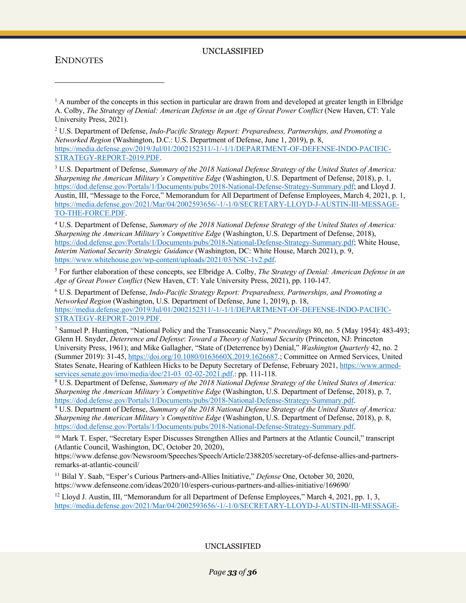#### **ENDNOTES**

<sup>2</sup> U.S. Department of Defense, *Indo-Pacific Strategy Report: Preparedness, Partnerships, and Promoting a Networked Region* (Washington, D.C.: U.S. Department of Defense, June 1, 2019), p. 8, https://media.defense.gov/2019/Jul/01/2002152311/-1/-1/1/DEPARTMENT-OF-DEFENSE-INDO-PACIFIC-STRATEGY-REPORT-2019.PDF.

<sup>3</sup> U.S. Department of Defense, *Summary of the 2018 National Defense Strategy of the United States of America: Sharpening the American Military's Competitive Edge* (Washington, U.S. Department of Defense, 2018), p. 1, https://dod.defense.gov/Portals/1/Documents/pubs/2018-National-Defense-Strategy-Summary.pdf; and Lloyd J. Austin, III, "Message to the Force," Memorandum for All Department of Defense Employees, March 4, 2021, p. 1, https://media.defense.gov/2021/Mar/04/2002593656/-1/-1/0/SECRETARY-LLOYD-J-AUSTIN-III-MESSAGE-TO-THE-FORCE.PDF.

<sup>4</sup> U.S. Department of Defense, *Summary of the 2018 National Defense Strategy of the United States of America: Sharpening the American Military's Competitive Edge* (Washington, U.S. Department of Defense, 2018), https://dod.defense.gov/Portals/1/Documents/pubs/2018-National-Defense-Strategy-Summary.pdf; White House, *Interim National Security Strategic Guidance* (Washington, DC: White House, March 2021), p. 9, https://www.whitehouse.gov/wp-content/uploads/2021/03/NSC-1v2.pdf.

<sup>5</sup> For further elaboration of these concepts, see Elbridge A. Colby, *The Strategy of Denial: American Defense in an Age of Great Power Conflict* (New Haven, CT: Yale University Press, 2021), pp. 110-147.

<sup>6</sup> U.S. Department of Defense, *Indo-Pacific Strategy Report: Preparedness, Partnerships, and Promoting a Networked Region* (Washington, U.S. Department of Defense, June 1, 2019), p. 18, https://media.defense.gov/2019/Jul/01/2002152311/-1/-1/1/DEPARTMENT-OF-DEFENSE-INDO-PACIFIC-STRATEGY-REPORT-2019.PDF.

<sup>7</sup> Samuel P. Huntington, "National Policy and the Transoceanic Navy," *Proceedings* 80, no. 5 (May 1954): 483-493; Glenn H. Snyder, *Deterrence and Defense*: *Toward a Theory of National Security* (Princeton, NJ: Princeton University Press, 1961); and Mike Gallagher, "State of (Deterrence by) Denial," *Washington Quarterly* 42, no. 2 (Summer 2019): 31-45, https://doi.org/10.1080/0163660X.2019.1626687.; Committee on Armed Services, United States Senate, Hearing of Kathleen Hicks to be Deputy Secretary of Defense, February 2021, https://www.armedservices.senate.gov/imo/media/doc/21-03\_02-02-2021.pdf.: pp. 111-118.

<sup>8</sup> U.S. Department of Defense, *Summary of the 2018 National Defense Strategy of the United States of America: Sharpening the American Military's Competitive Edge* (Washington, U.S. Department of Defense, 2018), p. 7, https://dod.defense.gov/Portals/1/Documents/pubs/2018-National-Defense-Strategy-Summary.pdf.

<sup>9</sup> U.S. Department of Defense, *Summary of the 2018 National Defense Strategy of the United States of America: Sharpening the American Military's Competitive Edge* (Washington, U.S. Department of Defense, 2018), p. 8, https://dod.defense.gov/Portals/1/Documents/pubs/2018-National-Defense-Strategy-Summary.pdf.

<sup>10</sup> Mark T. Esper, "Secretary Esper Discusses Strengthen Allies and Partners at the Atlantic Council," transcript (Atlantic Council, Washington, DC, October 20, 2020),

https://www.defense.gov/Newsroom/Speeches/Speech/Article/2388205/secretary-of-defense-allies-and-partnersremarks-at-atlantic-council/

<sup>11</sup> Bilal Y. Saab, "Esper's Curious Partners-and-Allies Initiative," *Defense* One, October 30, 2020, https://www.defenseone.com/ideas/2020/10/espers-curious-partners-and-allies-initiative/169690/

 $12$  Lloyd J. Austin, III, "Memorandum for all Department of Defense Employees," March 4, 2021, pp. 1, 3, https://media.defense.gov/2021/Mar/04/2002593656/-1/-1/0/SECRETARY-LLOYD-J-AUSTIN-III-MESSAGE-

 $<sup>1</sup>$  A number of the concepts in this section in particular are drawn from and developed at greater length in Elbridge</sup> A. Colby, *The Strategy of Denial: American Defense in an Age of Great Power Conflict* (New Haven, CT: Yale University Press, 2021).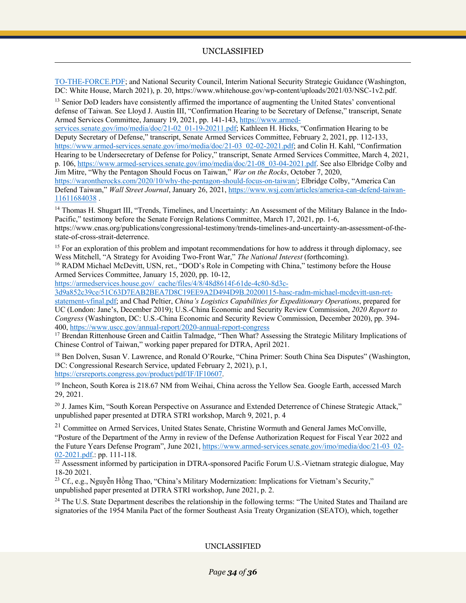TO-THE-FORCE.PDF; and National Security Council, Interim National Security Strategic Guidance (Washington, DC: White House, March 2021), p. 20, https://www.whitehouse.gov/wp-content/uploads/2021/03/NSC-1v2.pdf.

<sup>13</sup> Senior DoD leaders have consistently affirmed the importance of augmenting the United States' conventional defense of Taiwan. See Lloyd J. Austin III, "Confirmation Hearing to be Secretary of Defense," transcript, Senate Armed Services Committee, January 19, 2021, pp. 141-143, https://www.armed-

services.senate.gov/imo/media/doc/21-02\_01-19-20211.pdf; Kathleen H. Hicks, "Confirmation Hearing to be Deputy Secretary of Defense," transcript, Senate Armed Services Committee, February 2, 2021, pp. 112-133, https://www.armed-services.senate.gov/imo/media/doc/21-03\_02-02-2021.pdf; and Colin H. Kahl, "Confirmation Hearing to be Undersecretary of Defense for Policy," transcript, Senate Armed Services Committee, March 4, 2021, p. 106, https://www.armed-services.senate.gov/imo/media/doc/21-08\_03-04-2021.pdf. See also Elbridge Colby and Jim Mitre, "Why the Pentagon Should Focus on Taiwan," *War on the Rocks*, October 7, 2020,

https://warontherocks.com/2020/10/why-the-pentagon-should-focus-on-taiwan/; Elbridge Colby, "America Can Defend Taiwan," *Wall Street Journal*, January 26, 2021, https://www.wsj.com/articles/america-can-defend-taiwan-11611684038 .

<sup>14</sup> Thomas H. Shugart III, "Trends, Timelines, and Uncertainty: An Assessment of the Military Balance in the Indo-Pacific," testimony before the Senate Foreign Relations Committee, March 17, 2021, pp. 1-6, https://www.cnas.org/publications/congressional-testimony/trends-timelines-and-uncertainty-an-assessment-of-the-

state-of-cross-strait-deterrence.

<sup>15</sup> For an exploration of this problem and impotant recommendations for how to address it through diplomacy, see

Wess Mitchell, "A Strategy for Avoiding Two-Front War," *The National Interest* (forthcoming).<br><sup>16</sup> RADM Michael McDevitt, USN, ret., "DOD's Role in Competing with China," testimony before the House Armed Services Committee, January 15, 2020, pp. 10-12,

https://armedservices.house.gov/\_cache/files/4/8/48d8614f-61de-4c80-8d3c-

3d9a852c39ce/51C63D7EAB2BEA7D8C19EE9A2D494D9B.20200115-hasc-radm-michael-mcdevitt-usn-ret-

statement-vfinal.pdf; and Chad Peltier, *China's Logistics Capabilities for Expeditionary Operations*, prepared for UC (London: Jane's, December 2019); U.S.-China Economic and Security Review Commission, *2020 Report to Congress* (Washington, DC: U.S.-China Economic and Security Review Commission, December 2020), pp. 394- 400, https://www.uscc.gov/annual-report/2020-annual-report-congress

<sup>17</sup> Brendan Rittenhouse Green and Caitlin Talmadge, "Then What? Assessing the Strategic Military Implications of Chinese Control of Taiwan," working paper prepared for DTRA, April 2021.

<sup>18</sup> Ben Dolven, Susan V. Lawrence, and Ronald O'Rourke, "China Primer: South China Sea Disputes" (Washington, DC: Congressional Research Service, updated February 2, 2021), p.1, https://crsreports.congress.gov/product/pdf/IF/IF10607.

<sup>19</sup> Incheon, South Korea is 218.67 NM from Weihai, China across the Yellow Sea. Google Earth, accessed March 29, 2021.

<sup>20</sup> J. James Kim, "South Korean Perspective on Assurance and Extended Deterrence of Chinese Strategic Attack," unpublished paper presented at DTRA STRI workshop, March 9, 2021, p. 4

<sup>21</sup> Committee on Armed Services, United States Senate, Christine Wormuth and General James McConville, "Posture of the Department of the Army in review of the Defense Authorization Request for Fiscal Year 2022 and the Future Years Defense Program", June 2021, https://www.armed-services.senate.gov/imo/media/doc/21-03\_02-

02-2021.pdf.: pp. 111-118.  $\frac{22}{22}$  Assessment informed by participation in DTRA-sponsored Pacific Forum U.S.-Vietnam strategic dialogue, May 18-20 2021.

<sup>23</sup> Cf., e.g., Nguyễn Hồng Thao, "China's Military Modernization: Implications for Vietnam's Security," unpublished paper presented at DTRA STRI workshop, June 2021, p. 2.

<sup>24</sup> The U.S. State Department describes the relationship in the following terms: "The United States and Thailand are signatories of the 1954 Manila Pact of the former Southeast Asia Treaty Organization (SEATO), which, together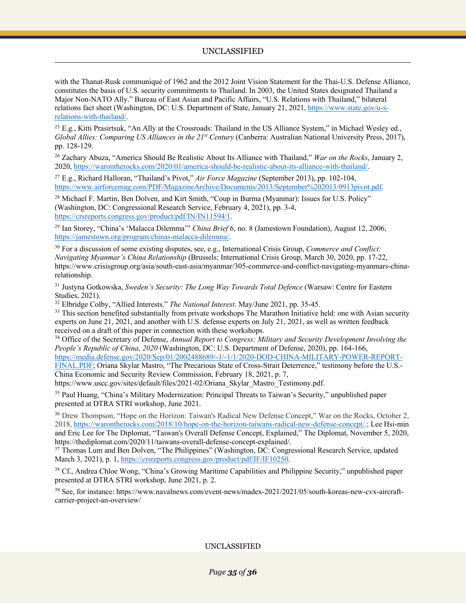with the Thanat-Rusk communiqué of 1962 and the 2012 Joint Vision Statement for the Thai-U.S. Defense Alliance, constitutes the basis of U.S. security commitments to Thailand. In 2003, the United States designated Thailand a Major Non-NATO Ally." Bureau of East Asian and Pacific Affairs, "U.S. Relations with Thailand," bilateral relations fact sheet (Washington, DC: U.S. Department of State, January 21, 2021, https://www.state.gov/u-srelations-with-thailand/.

 $25$  E.g., Kitti Prasirtsuk, "An Ally at the Crossroads: Thailand in the US Alliance System," in Michael Wesley ed., *Global Allies: Comparing US Alliances in the 21<sup>st</sup> Century (Canberra: Australian National University Press, 2017),* pp. 128-129.

<sup>26</sup> Zachary Abuza, "America Should Be Realistic About Its Alliance with Thailand," *War on the Rocks*, January 2, 2020, https://warontherocks.com/2020/01/america-should-be-realistic-about-its-alliance-with-thailand/.

<sup>27</sup> E.g., Richard Halloran, "Thailand's Pivot," *Air Force Magazine* (September 2013), pp. 102-104, https://www.airforcemag.com/PDF/MagazineArchive/Documents/2013/September%202013/0913pivot.pdf.

<sup>28</sup> Michael F. Martin, Ben Dolven, and Kirt Smith, "Coup in Burma (Myanmar): Issues for U.S. Policy" (Washington, DC: Congressional Research Service, February 4, 2021), pp. 3-4, https://crsreports.congress.gov/product/pdf/IN/IN11594/1.

<sup>29</sup> Ian Storey, "China's 'Malacca Dilemma'" *China Brief* 6, no. 8 (Jamestown Foundation), August 12, 2006, https://jamestown.org/program/chinas-malacca-dilemma/.

<sup>30</sup> For a discussion of some existing disputes, see, e.g., International Crisis Group, *Commerce and Conflict: Navigating Myanmar's China Relationship* (Brussels: International Crisis Group, March 30, 2020, pp. 17-22, https://www.crisisgroup.org/asia/south-east-asia/myanmar/305-commerce-and-conflict-navigating-myanmars-chinarelationship.

<sup>31</sup> Justyna Gotkowska, *Sweden's Security: The Long Way Towards Total Defence* (Warsaw: Centre for Eastern

Studies, 2021).<br><sup>32</sup> Elbridge Colby, "Allied Interests." *The National Interest*. May/June 2021, pp. 35-45.

<sup>33</sup> This section benefited substantially from private workshops The Marathon Initiative held: one with Asian security experts on June 21, 2021, and another with U.S. defense experts on July 21, 2021, as well as written feedback received on a draft of this paper in connection with these workshops.<br><sup>34</sup> Office of the Secretary of Defense, *Annual Report to Congress: Military and Security Development Involving the* 

*People's Republic of China, 2020* (Washington, DC: U.S. Department of Defense, 2020), pp. 164-166, https://media.defense.gov/2020/Sep/01/2002488689/-1/-1/1/2020-DOD-CHINA-MILITARY-POWER-REPORT-FINAL.PDF; Oriana Skylar Mastro, "The Precarious State of Cross-Strait Deterrence," testimony before the U.S.- China Economic and Security Review Commission, February 18, 2021, p. 7,

https://www.uscc.gov/sites/default/files/2021-02/Oriana\_Skylar\_Mastro\_Testimony.pdf.

<sup>35</sup> Paul Huang, "China's Military Modernization: Principal Threats to Taiwan's Security," unpublished paper presented at DTRA STRI workshop, June 2021.

<sup>36</sup> Drew Thompson, "Hope on the Horizon: Taiwan's Radical New Defense Concept," War on the Rocks, October 2, 2018, https://warontherocks.com/2018/10/hope-on-the-horizon-taiwans-radical-new-defense-concept/.; Lee Hsi-min and Eric Lee for The Diplomat, "Taiwan's Overall Defense Concept, Explained," The Diplomat, November 5, 2020, https://thediplomat.com/2020/11/taiwans-overall-defense-concept-explained/.

<sup>37</sup> Thomas Lum and Ben Dolven, "The Philippines" (Washington, DC: Congressional Research Service, updated March 3, 2021), p. 1, https://crsreports.congress.gov/product/pdf/IF/IF10250.

<sup>38</sup> Cf., Andrea Chloe Wong, "China's Growing Maritime Capabilities and Philippine Security," unpublished paper presented at DTRA STRI workshop, June 2021, p. 2.

<sup>39</sup> See, for instance: https://www.navalnews.com/event-news/madex-2021/2021/05/south-koreas-new-cvx-aircraftcarrier-project-an-overview/